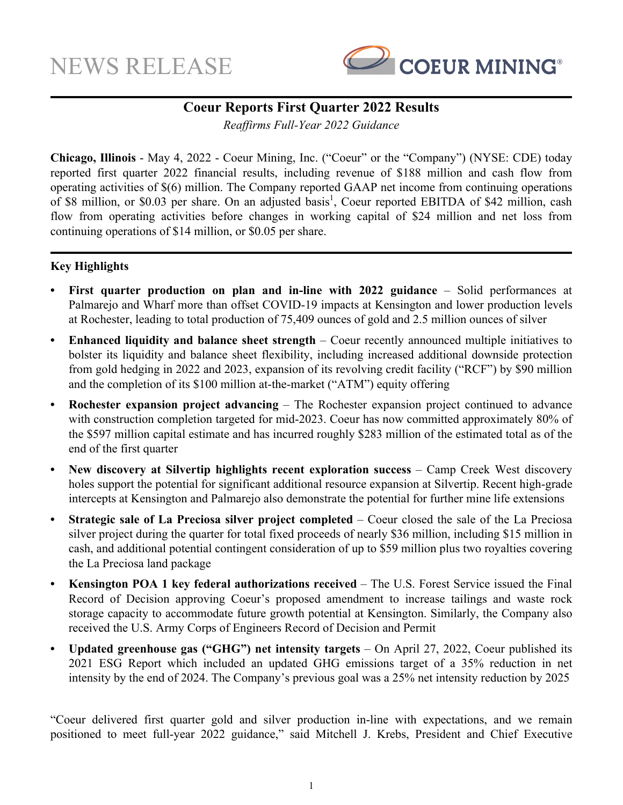

# **Coeur Reports First Quarter 2022 Results**

*Reaffirms Full-Year 2022 Guidance*

**Chicago, Illinois** - May 4, 2022 - Coeur Mining, Inc. ("Coeur" or the "Company") (NYSE: CDE) today reported first quarter 2022 financial results, including revenue of \$188 million and cash flow from operating activities of \$(6) million. The Company reported GAAP net income from continuing operations of \$8 million, or \$0.03 per share. On an adjusted basis<sup>1</sup>, Coeur reported EBITDA of \$42 million, cash flow from operating activities before changes in working capital of \$24 million and net loss from continuing operations of \$14 million, or \$0.05 per share.

# **Key Highlights**

- **First quarter production on plan and in-line with 2022 guidance Solid performances at** Palmarejo and Wharf more than offset COVID-19 impacts at Kensington and lower production levels at Rochester, leading to total production of 75,409 ounces of gold and 2.5 million ounces of silver
- **Enhanced liquidity and balance sheet strength** Coeur recently announced multiple initiatives to bolster its liquidity and balance sheet flexibility, including increased additional downside protection from gold hedging in 2022 and 2023, expansion of its revolving credit facility ("RCF") by \$90 million and the completion of its \$100 million at-the-market ("ATM") equity offering
- **Rochester expansion project advancing** The Rochester expansion project continued to advance with construction completion targeted for mid-2023. Coeur has now committed approximately 80% of the \$597 million capital estimate and has incurred roughly \$283 million of the estimated total as of the end of the first quarter
- New discovery at Silvertip highlights recent exploration success Camp Creek West discovery holes support the potential for significant additional resource expansion at Silvertip. Recent high-grade intercepts at Kensington and Palmarejo also demonstrate the potential for further mine life extensions
- **• Strategic sale of La Preciosa silver project completed**  Coeur closed the sale of the La Preciosa silver project during the quarter for total fixed proceeds of nearly \$36 million, including \$15 million in cash, and additional potential contingent consideration of up to \$59 million plus two royalties covering the La Preciosa land package
- **• Kensington POA 1 key federal authorizations received** The U.S. Forest Service issued the Final Record of Decision approving Coeur's proposed amendment to increase tailings and waste rock storage capacity to accommodate future growth potential at Kensington. Similarly, the Company also received the U.S. Army Corps of Engineers Record of Decision and Permit
- **• Updated greenhouse gas ("GHG") net intensity targets**  On April 27, 2022, Coeur published its 2021 ESG Report which included an updated GHG emissions target of a 35% reduction in net intensity by the end of 2024. The Company's previous goal was a 25% net intensity reduction by 2025

"Coeur delivered first quarter gold and silver production in-line with expectations, and we remain positioned to meet full-year 2022 guidance," said Mitchell J. Krebs, President and Chief Executive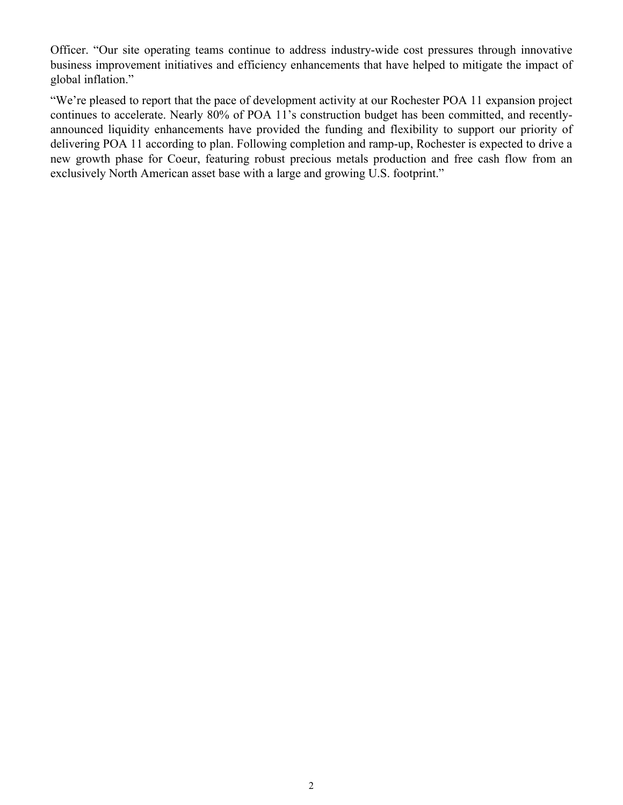Officer. "Our site operating teams continue to address industry-wide cost pressures through innovative business improvement initiatives and efficiency enhancements that have helped to mitigate the impact of global inflation."

"We're pleased to report that the pace of development activity at our Rochester POA 11 expansion project continues to accelerate. Nearly 80% of POA 11's construction budget has been committed, and recentlyannounced liquidity enhancements have provided the funding and flexibility to support our priority of delivering POA 11 according to plan. Following completion and ramp-up, Rochester is expected to drive a new growth phase for Coeur, featuring robust precious metals production and free cash flow from an exclusively North American asset base with a large and growing U.S. footprint."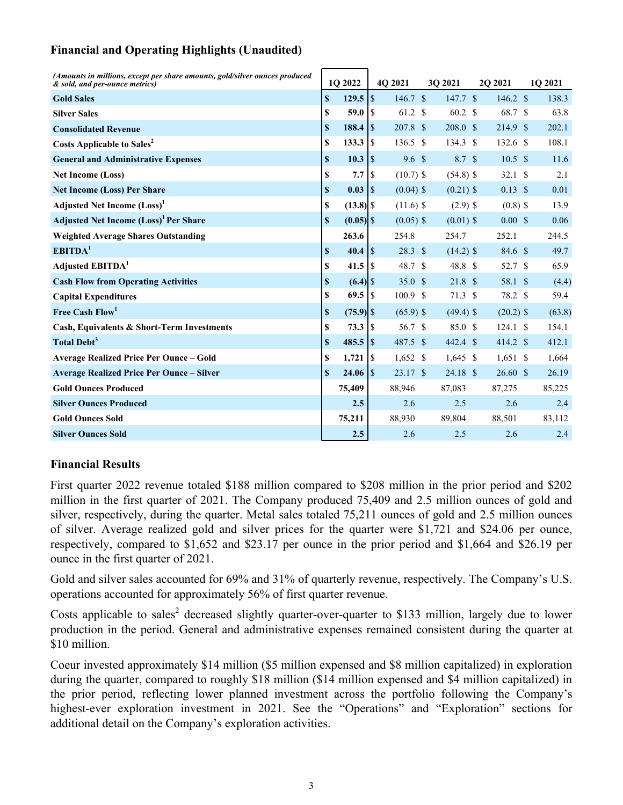# **Financial and Operating Highlights (Unaudited)**

| (Amounts in millions, except per share amounts, gold/silver ounces produced<br>& sold, and per-ounce metrics) |             | 1O 2022     |               | 4Q 2021            |    | 30 2021            | 20 20 21           | 1Q 2021 |
|---------------------------------------------------------------------------------------------------------------|-------------|-------------|---------------|--------------------|----|--------------------|--------------------|---------|
| <b>Gold Sales</b>                                                                                             | $\mathbf S$ | 129.5       | $\sqrt{S}$    | 146.7 <sup>°</sup> |    | 147.7 <sup>°</sup> | $146.2 \text{ }$   | 138.3   |
| <b>Silver Sales</b>                                                                                           | S           | 59.0        | l \$          | 61.2 \$            |    | 60.2 \$            | 68.7 \$            | 63.8    |
| <b>Consolidated Revenue</b>                                                                                   | \$          | 188.4       | $\sqrt{3}$    | 207.8 \$           |    | 208.0 <sup>°</sup> | 214.9 \$           | 202.1   |
| <b>Costs Applicable to Sales<sup>2</sup></b>                                                                  | S           | 133.3       | <sup>S</sup>  | 136.5              | -S | $134.3$ \$         | $132.6$ \$         | 108.1   |
| <b>General and Administrative Expenses</b>                                                                    | \$          | 10.3        | $\sqrt{S}$    | 9.6 <sup>°</sup>   |    | 8.7 <sup>°</sup>   | $10.5 \text{ }$ \$ | 11.6    |
| <b>Net Income (Loss)</b>                                                                                      | S           | 7.7         | <sup>\$</sup> | $(10.7)$ \$        |    | $(54.8)$ \$        | 32.1 <sup>°</sup>  | 2.1     |
| <b>Net Income (Loss) Per Share</b>                                                                            | \$          | $0.03$ S    |               | $(0.04)$ \$        |    | $(0.21)$ \$        | $0.13 \text{ }$ \$ | 0.01    |
| <b>Adjusted Net Income (Loss)</b> <sup>1</sup>                                                                | \$          |             |               | $(11.6)$ \$        |    | $(2.9)$ \$         | $(0.8)$ \$         | 13.9    |
| <b>Adjusted Net Income (Loss)<sup>1</sup> Per Share</b>                                                       | \$          |             |               | $(0.05)$ \$        |    | $(0.01)$ \$        | $0.00 \text{ }$ \$ | 0.06    |
| <b>Weighted Average Shares Outstanding</b>                                                                    |             | 263.6       |               | 254.8              |    | 254.7              | 252.1              | 244.5   |
| EBITDA <sup>1</sup>                                                                                           | S           | 40.4        | \$            | 28.3 <sup>°</sup>  |    | $(14.2)$ \$        | 84.6 \$            | 49.7    |
| Adjusted EBITDA <sup>1</sup>                                                                                  | S           | 41.5        | 8             | 48.7 \$            |    | 48.8 \$            | 52.7 \$            | 65.9    |
| <b>Cash Flow from Operating Activities</b>                                                                    | S           |             |               | 35.0 S             |    | 21.8 S             | 58.1 \$            | (4.4)   |
| <b>Capital Expenditures</b>                                                                                   | $\mathbf S$ | 69.5        | $\lceil$ \$   | 100.9 \$           |    | $71.3$ \$          | 78.2 \$            | 59.4    |
| Free Cash Flow <sup>1</sup>                                                                                   | \$          | $(75.9)$ \$ |               | $(65.9)$ \$        |    | $(49.4)$ \$        | $(20.2)$ \$        | (63.8)  |
| Cash, Equivalents & Short-Term Investments                                                                    | S           |             |               | 56.7 \$            |    | 85.0 <sup>°</sup>  | 124.1 S            | 154.1   |
| Total Debt <sup>3</sup>                                                                                       | S           |             |               | 487.5 \$           |    | 442.4 \$           | 414.2 \$           | 412.1   |
| <b>Average Realized Price Per Ounce – Gold</b>                                                                | S           | 1,721       | l \$          | $1,652$ \$         |    | $1,645$ \$         | $1,651$ \$         | 1,664   |
| <b>Average Realized Price Per Ounce - Silver</b>                                                              | S           |             |               | 23.17 \$           |    | $24.18$ \$         | $26.60~\text{\AA}$ | 26.19   |
| <b>Gold Ounces Produced</b>                                                                                   |             | 75,409      |               | 88,946             |    | 87,083             | 87,275             | 85,225  |
| <b>Silver Ounces Produced</b>                                                                                 |             | 2.5         |               | 2.6                |    | 2.5                | 2.6                | 2.4     |
| <b>Gold Ounces Sold</b>                                                                                       |             | 75,211      |               | 88,930             |    | 89,804             | 88,501             | 83,112  |
| <b>Silver Ounces Sold</b>                                                                                     |             | 2.5         |               | 2.6                |    | 2.5                | 2.6                | 2.4     |

# **Financial Results**

First quarter 2022 revenue totaled \$188 million compared to \$208 million in the prior period and \$202 million in the first quarter of 2021. The Company produced 75,409 and 2.5 million ounces of gold and silver, respectively, during the quarter. Metal sales totaled 75,211 ounces of gold and 2.5 million ounces of silver. Average realized gold and silver prices for the quarter were \$1,721 and \$24.06 per ounce, respectively, compared to \$1,652 and \$23.17 per ounce in the prior period and \$1,664 and \$26.19 per ounce in the first quarter of 2021.

Gold and silver sales accounted for 69% and 31% of quarterly revenue, respectively. The Company's U.S. operations accounted for approximately 56% of first quarter revenue.

Costs applicable to sales<sup>2</sup> decreased slightly quarter-over-quarter to \$133 million, largely due to lower production in the period. General and administrative expenses remained consistent during the quarter at \$10 million.

Coeur invested approximately \$14 million (\$5 million expensed and \$8 million capitalized) in exploration during the quarter, compared to roughly \$18 million (\$14 million expensed and \$4 million capitalized) in the prior period, reflecting lower planned investment across the portfolio following the Company's highest-ever exploration investment in 2021. See the "Operations" and "Exploration" sections for additional detail on the Company's exploration activities.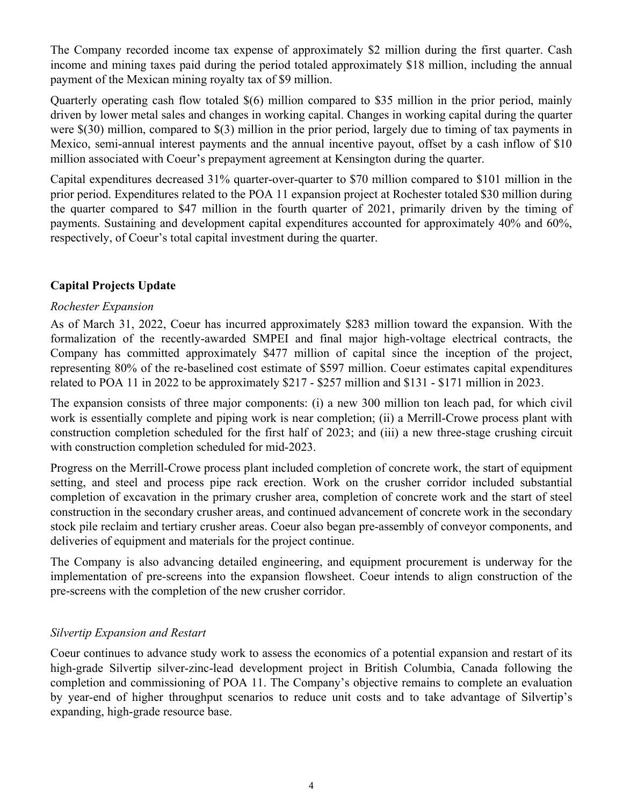The Company recorded income tax expense of approximately \$2 million during the first quarter. Cash income and mining taxes paid during the period totaled approximately \$18 million, including the annual payment of the Mexican mining royalty tax of \$9 million.

Quarterly operating cash flow totaled \$(6) million compared to \$35 million in the prior period, mainly driven by lower metal sales and changes in working capital. Changes in working capital during the quarter were \$(30) million, compared to \$(3) million in the prior period, largely due to timing of tax payments in Mexico, semi-annual interest payments and the annual incentive payout, offset by a cash inflow of \$10 million associated with Coeur's prepayment agreement at Kensington during the quarter.

Capital expenditures decreased 31% quarter-over-quarter to \$70 million compared to \$101 million in the prior period. Expenditures related to the POA 11 expansion project at Rochester totaled \$30 million during the quarter compared to \$47 million in the fourth quarter of 2021, primarily driven by the timing of payments. Sustaining and development capital expenditures accounted for approximately 40% and 60%, respectively, of Coeur's total capital investment during the quarter.

# **Capital Projects Update**

# *Rochester Expansion*

As of March 31, 2022, Coeur has incurred approximately \$283 million toward the expansion. With the formalization of the recently-awarded SMPEI and final major high-voltage electrical contracts, the Company has committed approximately \$477 million of capital since the inception of the project, representing 80% of the re-baselined cost estimate of \$597 million. Coeur estimates capital expenditures related to POA 11 in 2022 to be approximately \$217 - \$257 million and \$131 - \$171 million in 2023.

The expansion consists of three major components: (i) a new 300 million ton leach pad, for which civil work is essentially complete and piping work is near completion; (ii) a Merrill-Crowe process plant with construction completion scheduled for the first half of 2023; and (iii) a new three-stage crushing circuit with construction completion scheduled for mid-2023.

Progress on the Merrill-Crowe process plant included completion of concrete work, the start of equipment setting, and steel and process pipe rack erection. Work on the crusher corridor included substantial completion of excavation in the primary crusher area, completion of concrete work and the start of steel construction in the secondary crusher areas, and continued advancement of concrete work in the secondary stock pile reclaim and tertiary crusher areas. Coeur also began pre-assembly of conveyor components, and deliveries of equipment and materials for the project continue.

The Company is also advancing detailed engineering, and equipment procurement is underway for the implementation of pre-screens into the expansion flowsheet. Coeur intends to align construction of the pre-screens with the completion of the new crusher corridor.

# *Silvertip Expansion and Restart*

Coeur continues to advance study work to assess the economics of a potential expansion and restart of its high-grade Silvertip silver-zinc-lead development project in British Columbia, Canada following the completion and commissioning of POA 11. The Company's objective remains to complete an evaluation by year-end of higher throughput scenarios to reduce unit costs and to take advantage of Silvertip's expanding, high-grade resource base.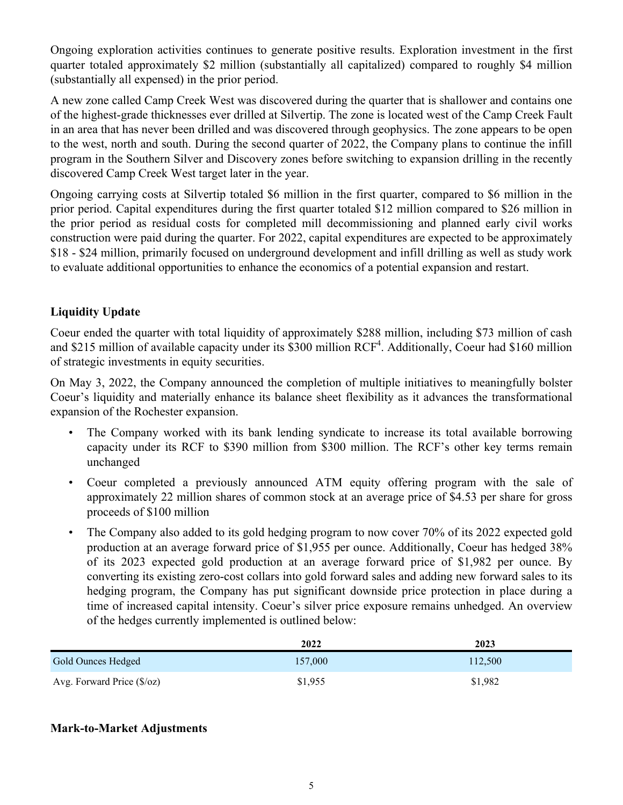Ongoing exploration activities continues to generate positive results. Exploration investment in the first quarter totaled approximately \$2 million (substantially all capitalized) compared to roughly \$4 million (substantially all expensed) in the prior period.

A new zone called Camp Creek West was discovered during the quarter that is shallower and contains one of the highest-grade thicknesses ever drilled at Silvertip. The zone is located west of the Camp Creek Fault in an area that has never been drilled and was discovered through geophysics. The zone appears to be open to the west, north and south. During the second quarter of 2022, the Company plans to continue the infill program in the Southern Silver and Discovery zones before switching to expansion drilling in the recently discovered Camp Creek West target later in the year.

Ongoing carrying costs at Silvertip totaled \$6 million in the first quarter, compared to \$6 million in the prior period. Capital expenditures during the first quarter totaled \$12 million compared to \$26 million in the prior period as residual costs for completed mill decommissioning and planned early civil works construction were paid during the quarter. For 2022, capital expenditures are expected to be approximately \$18 - \$24 million, primarily focused on underground development and infill drilling as well as study work to evaluate additional opportunities to enhance the economics of a potential expansion and restart.

# **Liquidity Update**

Coeur ended the quarter with total liquidity of approximately \$288 million, including \$73 million of cash and \$215 million of available capacity under its \$300 million  $RCF<sup>4</sup>$ . Additionally, Coeur had \$160 million of strategic investments in equity securities.

On May 3, 2022, the Company announced the completion of multiple initiatives to meaningfully bolster Coeur's liquidity and materially enhance its balance sheet flexibility as it advances the transformational expansion of the Rochester expansion.

- The Company worked with its bank lending syndicate to increase its total available borrowing capacity under its RCF to \$390 million from \$300 million. The RCF's other key terms remain unchanged
- Coeur completed a previously announced ATM equity offering program with the sale of approximately 22 million shares of common stock at an average price of \$4.53 per share for gross proceeds of \$100 million
- The Company also added to its gold hedging program to now cover 70% of its 2022 expected gold production at an average forward price of \$1,955 per ounce. Additionally, Coeur has hedged 38% of its 2023 expected gold production at an average forward price of \$1,982 per ounce. By converting its existing zero-cost collars into gold forward sales and adding new forward sales to its hedging program, the Company has put significant downside price protection in place during a time of increased capital intensity. Coeur's silver price exposure remains unhedged. An overview of the hedges currently implemented is outlined below:

|                                    | 2022    | 2023    |
|------------------------------------|---------|---------|
| Gold Ounces Hedged                 | 157,000 | 112,500 |
| Avg. Forward Price $(\frac{6}{2})$ | \$1,955 | \$1,982 |

# **Mark-to-Market Adjustments**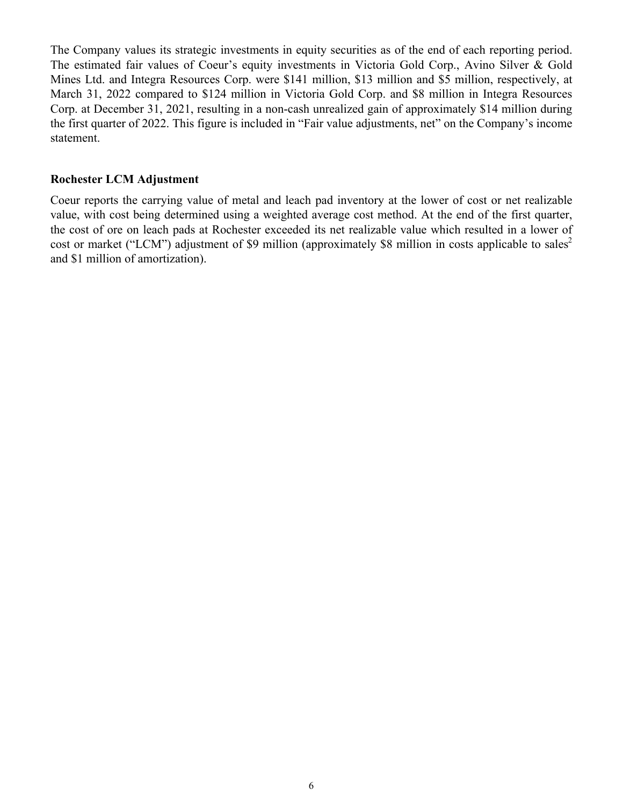The Company values its strategic investments in equity securities as of the end of each reporting period. The estimated fair values of Coeur's equity investments in Victoria Gold Corp., Avino Silver & Gold Mines Ltd. and Integra Resources Corp. were \$141 million, \$13 million and \$5 million, respectively, at March 31, 2022 compared to \$124 million in Victoria Gold Corp. and \$8 million in Integra Resources Corp. at December 31, 2021, resulting in a non-cash unrealized gain of approximately \$14 million during the first quarter of 2022. This figure is included in "Fair value adjustments, net" on the Company's income statement.

## **Rochester LCM Adjustment**

Coeur reports the carrying value of metal and leach pad inventory at the lower of cost or net realizable value, with cost being determined using a weighted average cost method. At the end of the first quarter, the cost of ore on leach pads at Rochester exceeded its net realizable value which resulted in a lower of cost or market ("LCM") adjustment of \$9 million (approximately \$8 million in costs applicable to sales<sup>2</sup> and \$1 million of amortization).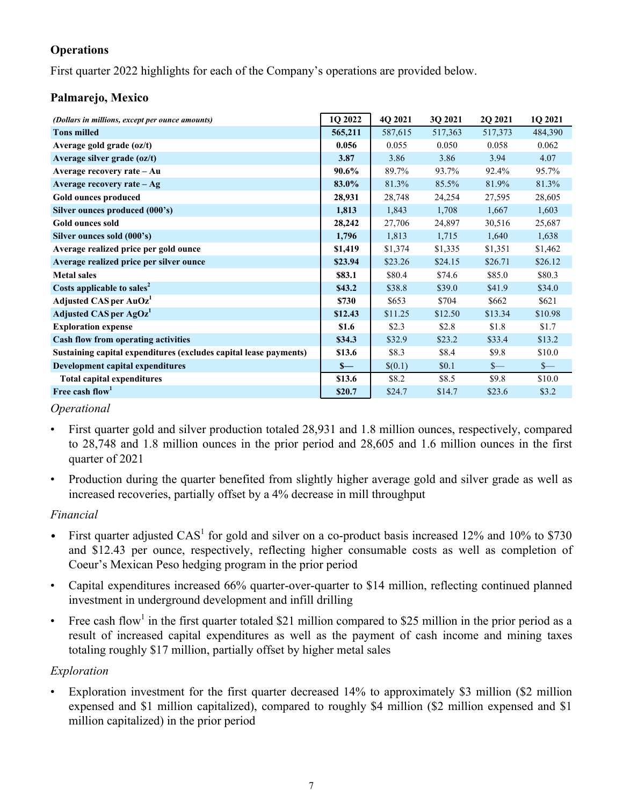# **Operations**

First quarter 2022 highlights for each of the Company's operations are provided below.

# **Palmarejo, Mexico**

| (Dollars in millions, except per ounce amounts)                   | 1Q 2022 | 4Q 2021 | 3Q 2021 | 2Q 2021 | 1Q 2021 |
|-------------------------------------------------------------------|---------|---------|---------|---------|---------|
| <b>Tons milled</b>                                                | 565,211 | 587,615 | 517,363 | 517,373 | 484,390 |
| Average gold grade (oz/t)                                         | 0.056   | 0.055   | 0.050   | 0.058   | 0.062   |
| Average silver grade (oz/t)                                       | 3.87    | 3.86    | 3.86    | 3.94    | 4.07    |
| Average recovery rate - Au                                        | 90.6%   | 89.7%   | 93.7%   | 92.4%   | 95.7%   |
| Average recovery rate - Ag                                        | 83.0%   | 81.3%   | 85.5%   | 81.9%   | 81.3%   |
| Gold ounces produced                                              | 28,931  | 28,748  | 24,254  | 27,595  | 28,605  |
| Silver ounces produced (000's)                                    | 1,813   | 1,843   | 1,708   | 1,667   | 1,603   |
| <b>Gold ounces sold</b>                                           | 28,242  | 27,706  | 24,897  | 30,516  | 25,687  |
| Silver ounces sold (000's)                                        | 1,796   | 1,813   | 1,715   | 1,640   | 1,638   |
| Average realized price per gold ounce                             | \$1,419 | \$1,374 | \$1,335 | \$1,351 | \$1,462 |
| Average realized price per silver ounce                           | \$23.94 | \$23.26 | \$24.15 | \$26.71 | \$26.12 |
| <b>Metal sales</b>                                                | \$83.1  | \$80.4  | \$74.6  | \$85.0  | \$80.3  |
| Costs applicable to sales <sup>2</sup>                            | \$43.2  | \$38.8  | \$39.0  | \$41.9  | \$34.0  |
| Adjusted CAS per AuOz <sup>1</sup>                                | \$730   | \$653   | \$704   | \$662   | \$621   |
| Adjusted CAS per AgOz <sup>1</sup>                                | \$12.43 | \$11.25 | \$12.50 | \$13.34 | \$10.98 |
| <b>Exploration expense</b>                                        | \$1.6   | \$2.3   | \$2.8   | \$1.8   | \$1.7   |
| <b>Cash flow from operating activities</b>                        | \$34.3  | \$32.9  | \$23.2  | \$33.4  | \$13.2  |
| Sustaining capital expenditures (excludes capital lease payments) | \$13.6  | \$8.3   | \$8.4   | \$9.8   | \$10.0  |
| Development capital expenditures                                  | $S-$    | \$(0.1) | \$0.1   | $s-$    | $s-$    |
| <b>Total capital expenditures</b>                                 | \$13.6  | \$8.2   | \$8.5   | \$9.8   | \$10.0  |
| Free cash flow <sup>1</sup>                                       | \$20.7  | \$24.7  | \$14.7  | \$23.6  | \$3.2   |

## *Operational*

- First quarter gold and silver production totaled 28,931 and 1.8 million ounces, respectively, compared to 28,748 and 1.8 million ounces in the prior period and 28,605 and 1.6 million ounces in the first quarter of 2021
- Production during the quarter benefited from slightly higher average gold and silver grade as well as increased recoveries, partially offset by a 4% decrease in mill throughput

# *Financial*

- First quarter adjusted  $CAS<sup>1</sup>$  for gold and silver on a co-product basis increased 12% and 10% to \$730 and \$12.43 per ounce, respectively, reflecting higher consumable costs as well as completion of Coeur's Mexican Peso hedging program in the prior period
- Capital expenditures increased 66% quarter-over-quarter to \$14 million, reflecting continued planned investment in underground development and infill drilling
- Free cash flow<sup>1</sup> in the first quarter totaled \$21 million compared to \$25 million in the prior period as a result of increased capital expenditures as well as the payment of cash income and mining taxes totaling roughly \$17 million, partially offset by higher metal sales

# *Exploration*

Exploration investment for the first quarter decreased 14% to approximately \$3 million (\$2 million expensed and \$1 million capitalized), compared to roughly \$4 million (\$2 million expensed and \$1 million capitalized) in the prior period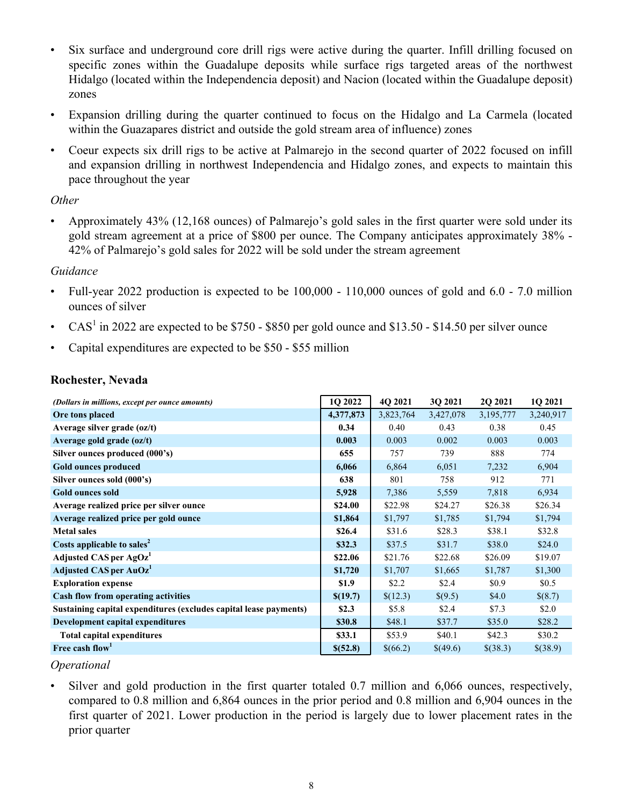- Six surface and underground core drill rigs were active during the quarter. Infill drilling focused on specific zones within the Guadalupe deposits while surface rigs targeted areas of the northwest Hidalgo (located within the Independencia deposit) and Nacion (located within the Guadalupe deposit) zones
- Expansion drilling during the quarter continued to focus on the Hidalgo and La Carmela (located within the Guazapares district and outside the gold stream area of influence) zones
- Coeur expects six drill rigs to be active at Palmarejo in the second quarter of 2022 focused on infill and expansion drilling in northwest Independencia and Hidalgo zones, and expects to maintain this pace throughout the year

# *Other*

• Approximately 43% (12,168 ounces) of Palmarejo's gold sales in the first quarter were sold under its gold stream agreement at a price of \$800 per ounce. The Company anticipates approximately 38% - 42% of Palmarejo's gold sales for 2022 will be sold under the stream agreement

# *Guidance*

- Full-year 2022 production is expected to be  $100,000 110,000$  ounces of gold and  $6.0 7.0$  million ounces of silver
- CAS<sup>1</sup> in 2022 are expected to be \$750 \$850 per gold ounce and \$13.50 \$14.50 per silver ounce
- Capital expenditures are expected to be \$50 \$55 million

# **Rochester, Nevada**

| (Dollars in millions, except per ounce amounts)                   | 1Q 2022   | 4Q 2021   | 3Q 2021   | 2Q 2021   | 1Q 2021   |
|-------------------------------------------------------------------|-----------|-----------|-----------|-----------|-----------|
| Ore tons placed                                                   | 4,377,873 | 3,823,764 | 3,427,078 | 3,195,777 | 3,240,917 |
| Average silver grade (oz/t)                                       | 0.34      | 0.40      | 0.43      | 0.38      | 0.45      |
| Average gold grade (oz/t)                                         | 0.003     | 0.003     | 0.002     | 0.003     | 0.003     |
| Silver ounces produced (000's)                                    | 655       | 757       | 739       | 888       | 774       |
| Gold ounces produced                                              | 6,066     | 6,864     | 6,051     | 7,232     | 6,904     |
| Silver ounces sold (000's)                                        | 638       | 801       | 758       | 912       | 771       |
| <b>Gold ounces sold</b>                                           | 5,928     | 7,386     | 5,559     | 7,818     | 6,934     |
| Average realized price per silver ounce                           | \$24.00   | \$22.98   | \$24.27   | \$26.38   | \$26.34   |
| Average realized price per gold ounce                             | \$1,864   | \$1,797   | \$1,785   | \$1,794   | \$1,794   |
| <b>Metal sales</b>                                                | \$26.4    | \$31.6    | \$28.3    | \$38.1    | \$32.8    |
| Costs applicable to sales <sup>2</sup>                            | \$32.3    | \$37.5    | \$31.7    | \$38.0    | \$24.0    |
| Adjusted CAS per AgOz <sup>1</sup>                                | \$22.06   | \$21.76   | \$22.68   | \$26.09   | \$19.07   |
| Adjusted CAS per AuOz <sup>1</sup>                                | \$1,720   | \$1,707   | \$1,665   | \$1,787   | \$1,300   |
| <b>Exploration expense</b>                                        | \$1.9     | \$2.2     | \$2.4     | \$0.9     | \$0.5     |
| <b>Cash flow from operating activities</b>                        | \$(19.7)  | \$(12.3)  | \$(9.5)   | \$4.0     | \$(8.7)   |
| Sustaining capital expenditures (excludes capital lease payments) | \$2.3\$   | \$5.8\$   | \$2.4     | \$7.3     | \$2.0     |
| Development capital expenditures                                  | \$30.8    | \$48.1    | \$37.7    | \$35.0    | \$28.2    |
| <b>Total capital expenditures</b>                                 | \$33.1    | \$53.9    | \$40.1    | \$42.3    | \$30.2    |
| Free cash flow <sup>1</sup>                                       | \$(52.8)  | \$(66.2)  | \$(49.6)  | \$(38.3)  | \$(38.9)  |

# *Operational*

Silver and gold production in the first quarter totaled 0.7 million and 6,066 ounces, respectively, compared to 0.8 million and 6,864 ounces in the prior period and 0.8 million and 6,904 ounces in the first quarter of 2021. Lower production in the period is largely due to lower placement rates in the prior quarter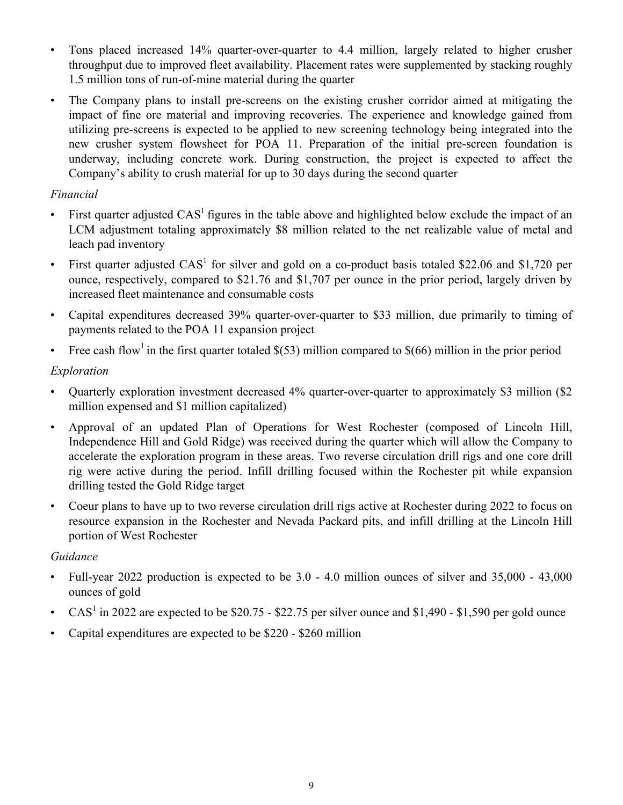- Tons placed increased 14% quarter-over-quarter to 4.4 million, largely related to higher crusher throughput due to improved fleet availability. Placement rates were supplemented by stacking roughly 1.5 million tons of run-of-mine material during the quarter
- The Company plans to install pre-screens on the existing crusher corridor aimed at mitigating the impact of fine ore material and improving recoveries. The experience and knowledge gained from utilizing pre-screens is expected to be applied to new screening technology being integrated into the new crusher system flowsheet for POA 11. Preparation of the initial pre-screen foundation is underway, including concrete work. During construction, the project is expected to affect the Company's ability to crush material for up to 30 days during the second quarter

# *Financial*

- First quarter adjusted  $CAS<sup>1</sup>$  figures in the table above and highlighted below exclude the impact of an LCM adjustment totaling approximately \$8 million related to the net realizable value of metal and leach pad inventory
- First quarter adjusted  $CAS<sup>1</sup>$  for silver and gold on a co-product basis totaled \$22.06 and \$1,720 per ounce, respectively, compared to \$21.76 and \$1,707 per ounce in the prior period, largely driven by increased fleet maintenance and consumable costs
- Capital expenditures decreased 39% quarter-over-quarter to \$33 million, due primarily to timing of payments related to the POA 11 expansion project
- Free cash flow<sup>1</sup> in the first quarter totaled  $$(53)$  million compared to  $$(66)$  million in the prior period

# *Exploration*

- Quarterly exploration investment decreased 4% quarter-over-quarter to approximately \$3 million (\$2) million expensed and \$1 million capitalized)
- Approval of an updated Plan of Operations for West Rochester (composed of Lincoln Hill, Independence Hill and Gold Ridge) was received during the quarter which will allow the Company to accelerate the exploration program in these areas. Two reverse circulation drill rigs and one core drill rig were active during the period. Infill drilling focused within the Rochester pit while expansion drilling tested the Gold Ridge target
- Coeur plans to have up to two reverse circulation drill rigs active at Rochester during 2022 to focus on resource expansion in the Rochester and Nevada Packard pits, and infill drilling at the Lincoln Hill portion of West Rochester

# *Guidance*

- Full-year 2022 production is expected to be 3.0 4.0 million ounces of silver and 35,000 43,000 ounces of gold
- CAS<sup>1</sup> in 2022 are expected to be \$20.75 \$22.75 per silver ounce and \$1,490 \$1,590 per gold ounce
- Capital expenditures are expected to be \$220 \$260 million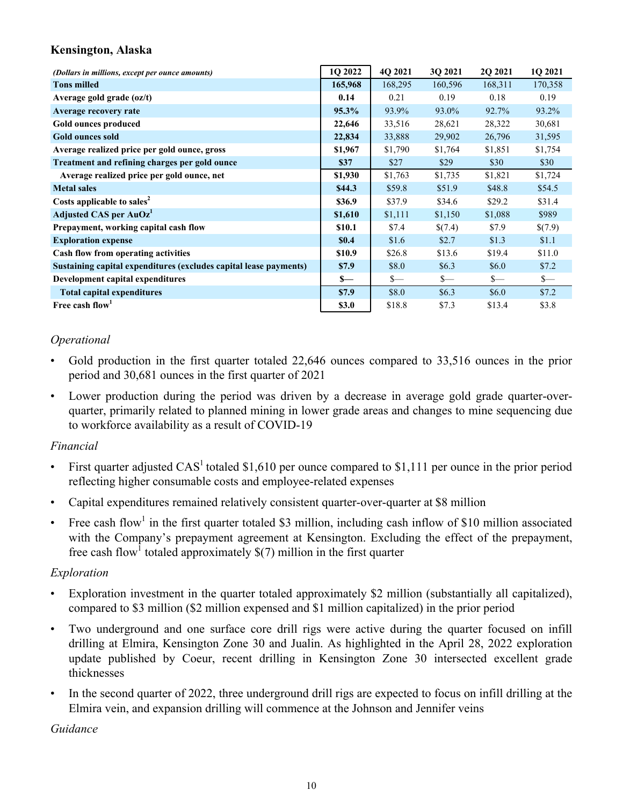# **Kensington, Alaska**

| (Dollars in millions, except per ounce amounts)                   | 1Q 2022  | 4Q 2021 | 3Q 2021 | 2Q 2021 | 1Q 2021 |
|-------------------------------------------------------------------|----------|---------|---------|---------|---------|
| <b>Tons milled</b>                                                | 165,968  | 168,295 | 160,596 | 168,311 | 170,358 |
| Average gold grade $(oz/t)$                                       | 0.14     | 0.21    | 0.19    | 0.18    | 0.19    |
| Average recovery rate                                             | 95.3%    | 93.9%   | 93.0%   | 92.7%   | 93.2%   |
| Gold ounces produced                                              | 22,646   | 33,516  | 28,621  | 28,322  | 30,681  |
| <b>Gold ounces sold</b>                                           | 22,834   | 33,888  | 29,902  | 26,796  | 31,595  |
| Average realized price per gold ounce, gross                      | \$1,967  | \$1,790 | \$1,764 | \$1,851 | \$1,754 |
| Treatment and refining charges per gold ounce                     | \$37     | \$27    | \$29    | \$30    | \$30    |
| Average realized price per gold ounce, net                        | \$1,930  | \$1,763 | \$1,735 | \$1,821 | \$1,724 |
| <b>Metal sales</b>                                                | \$44.3\$ | \$59.8  | \$51.9  | \$48.8  | \$54.5  |
| Costs applicable to sales <sup>2</sup>                            | \$36.9   | \$37.9  | \$34.6  | \$29.2  | \$31.4  |
| Adjusted CAS per AuOz <sup>1</sup>                                | \$1,610  | \$1,111 | \$1,150 | \$1,088 | \$989   |
| Prepayment, working capital cash flow                             | \$10.1   | \$7.4   | \$(7.4) | \$7.9   | \$(7.9) |
| <b>Exploration expense</b>                                        | \$0.4    | \$1.6   | \$2.7   | \$1.3   | \$1.1   |
| Cash flow from operating activities                               | \$10.9   | \$26.8  | \$13.6  | \$19.4  | \$11.0  |
| Sustaining capital expenditures (excludes capital lease payments) | \$7.9    | \$8.0   | \$6.3\$ | \$6.0   | \$7.2   |
| Development capital expenditures                                  | $S-$     | $S-$    | $S-$    | $S-$    | $s-$    |
| <b>Total capital expenditures</b>                                 | \$7.9    | \$8.0   | \$6.3\$ | \$6.0   | \$7.2   |
| Free cash flow                                                    | \$3.0    | \$18.8  | \$7.3   | \$13.4  | \$3.8   |

# *Operational*

- Gold production in the first quarter totaled 22,646 ounces compared to 33,516 ounces in the prior period and 30,681 ounces in the first quarter of 2021
- Lower production during the period was driven by a decrease in average gold grade quarter-overquarter, primarily related to planned mining in lower grade areas and changes to mine sequencing due to workforce availability as a result of COVID-19

# *Financial*

- First quarter adjusted  $CAS<sup>1</sup>$  totaled \$1,610 per ounce compared to \$1,111 per ounce in the prior period reflecting higher consumable costs and employee-related expenses
- Capital expenditures remained relatively consistent quarter-over-quarter at \$8 million
- Free cash flow<sup>1</sup> in the first quarter totaled \$3 million, including cash inflow of \$10 million associated with the Company's prepayment agreement at Kensington. Excluding the effect of the prepayment, free cash flow<sup>1</sup> totaled approximately  $\$(7)$  million in the first quarter

# *Exploration*

- Exploration investment in the quarter totaled approximately \$2 million (substantially all capitalized), compared to \$3 million (\$2 million expensed and \$1 million capitalized) in the prior period
- Two underground and one surface core drill rigs were active during the quarter focused on infill drilling at Elmira, Kensington Zone 30 and Jualin. As highlighted in the April 28, 2022 exploration update published by Coeur, recent drilling in Kensington Zone 30 intersected excellent grade thicknesses
- In the second quarter of 2022, three underground drill rigs are expected to focus on infill drilling at the Elmira vein, and expansion drilling will commence at the Johnson and Jennifer veins

*Guidance*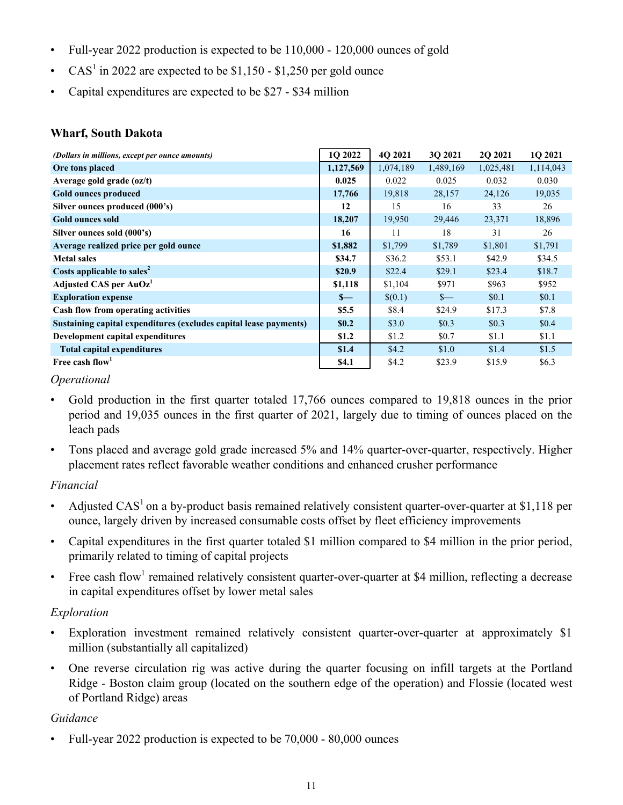- Full-year 2022 production is expected to be 110,000 120,000 ounces of gold
- CAS<sup>1</sup> in 2022 are expected to be \$1,150 \$1,250 per gold ounce
- Capital expenditures are expected to be \$27 \$34 million

# **Wharf, South Dakota**

| (Dollars in millions, except per ounce amounts)                   | 1Q 2022      | 4Q 2021   | 3Q 2021   | 2Q 2021   | 1Q 2021   |
|-------------------------------------------------------------------|--------------|-----------|-----------|-----------|-----------|
| Ore tons placed                                                   | 1,127,569    | 1,074,189 | 1,489,169 | 1,025,481 | 1,114,043 |
| Average gold grade (oz/t)                                         | 0.025        | 0.022     | 0.025     | 0.032     | 0.030     |
| Gold ounces produced                                              | 17,766       | 19,818    | 28,157    | 24,126    | 19,035    |
| Silver ounces produced (000's)                                    | 12           | 15        | 16        | 33        | 26        |
| <b>Gold ounces sold</b>                                           | 18,207       | 19,950    | 29,446    | 23,371    | 18,896    |
| Silver ounces sold (000's)                                        | 16           | 11        | 18        | 31        | 26        |
| Average realized price per gold ounce                             | \$1,882      | \$1,799   | \$1,789   | \$1,801   | \$1,791   |
| <b>Metal sales</b>                                                | \$34.7       | \$36.2    | \$53.1    | \$42.9    | \$34.5    |
| Costs applicable to sales <sup>2</sup>                            | \$20.9       | \$22.4    | \$29.1    | \$23.4    | \$18.7    |
| Adjusted CAS per AuOz <sup>1</sup>                                | \$1,118      | \$1,104   | \$971     | \$963     | \$952     |
| <b>Exploration expense</b>                                        | $S-$         | \$(0.1)   | $S-$      | \$0.1     | \$0.1     |
| Cash flow from operating activities                               | \$5.5        | \$8.4     | \$24.9    | \$17.3    | \$7.8     |
| Sustaining capital expenditures (excludes capital lease payments) | \$0.2        | \$3.0     | \$0.3     | \$0.3     | \$0.4\$   |
| Development capital expenditures                                  | \$1.2        | \$1.2     | \$0.7     | \$1.1     | \$1.1     |
| <b>Total capital expenditures</b>                                 | \$1.4        | \$4.2     | \$1.0     | \$1.4     | \$1.5     |
| Free cash flow                                                    | <b>\$4.1</b> | \$4.2     | \$23.9    | \$15.9    | \$6.3\$   |

# *Operational*

- Gold production in the first quarter totaled 17,766 ounces compared to 19,818 ounces in the prior period and 19,035 ounces in the first quarter of 2021, largely due to timing of ounces placed on the leach pads
- Tons placed and average gold grade increased 5% and 14% quarter-over-quarter, respectively. Higher placement rates reflect favorable weather conditions and enhanced crusher performance

# *Financial*

- Adjusted CAS<sup>1</sup> on a by-product basis remained relatively consistent quarter-over-quarter at \$1,118 per ounce, largely driven by increased consumable costs offset by fleet efficiency improvements
- Capital expenditures in the first quarter totaled \$1 million compared to \$4 million in the prior period, primarily related to timing of capital projects
- Free cash flow<sup>1</sup> remained relatively consistent quarter-over-quarter at \$4 million, reflecting a decrease in capital expenditures offset by lower metal sales

# *Exploration*

- Exploration investment remained relatively consistent quarter-over-quarter at approximately \$1 million (substantially all capitalized)
- One reverse circulation rig was active during the quarter focusing on infill targets at the Portland Ridge - Boston claim group (located on the southern edge of the operation) and Flossie (located west of Portland Ridge) areas

# *Guidance*

• Full-year 2022 production is expected to be 70,000 - 80,000 ounces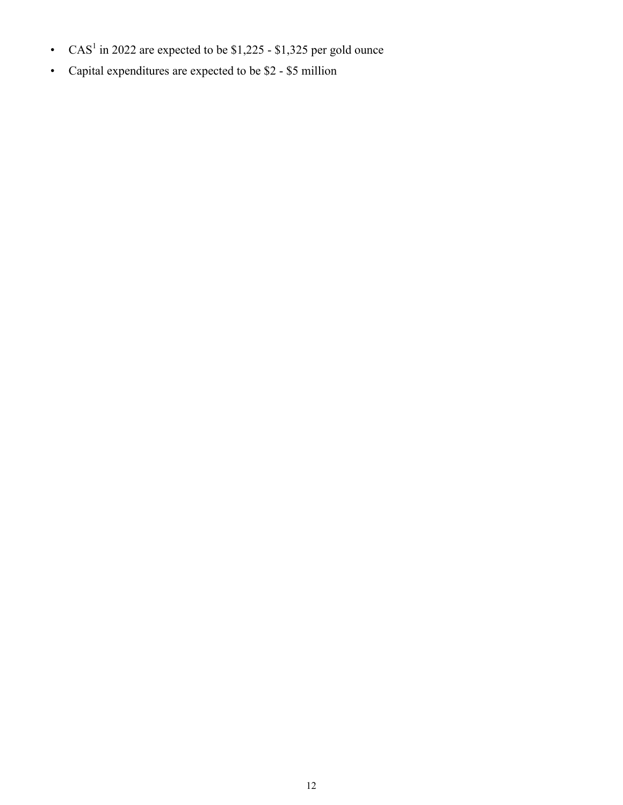- CAS<sup>1</sup> in 2022 are expected to be \$1,225 \$1,325 per gold ounce
- Capital expenditures are expected to be \$2 \$5 million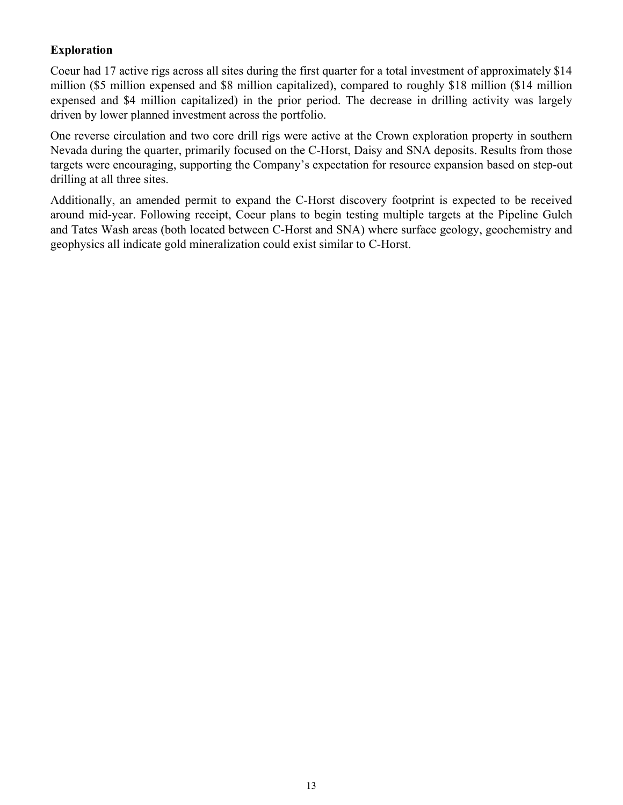# **Exploration**

Coeur had 17 active rigs across all sites during the first quarter for a total investment of approximately \$14 million (\$5 million expensed and \$8 million capitalized), compared to roughly \$18 million (\$14 million expensed and \$4 million capitalized) in the prior period. The decrease in drilling activity was largely driven by lower planned investment across the portfolio.

One reverse circulation and two core drill rigs were active at the Crown exploration property in southern Nevada during the quarter, primarily focused on the C-Horst, Daisy and SNA deposits. Results from those targets were encouraging, supporting the Company's expectation for resource expansion based on step-out drilling at all three sites.

Additionally, an amended permit to expand the C-Horst discovery footprint is expected to be received around mid-year. Following receipt, Coeur plans to begin testing multiple targets at the Pipeline Gulch and Tates Wash areas (both located between C-Horst and SNA) where surface geology, geochemistry and geophysics all indicate gold mineralization could exist similar to C-Horst.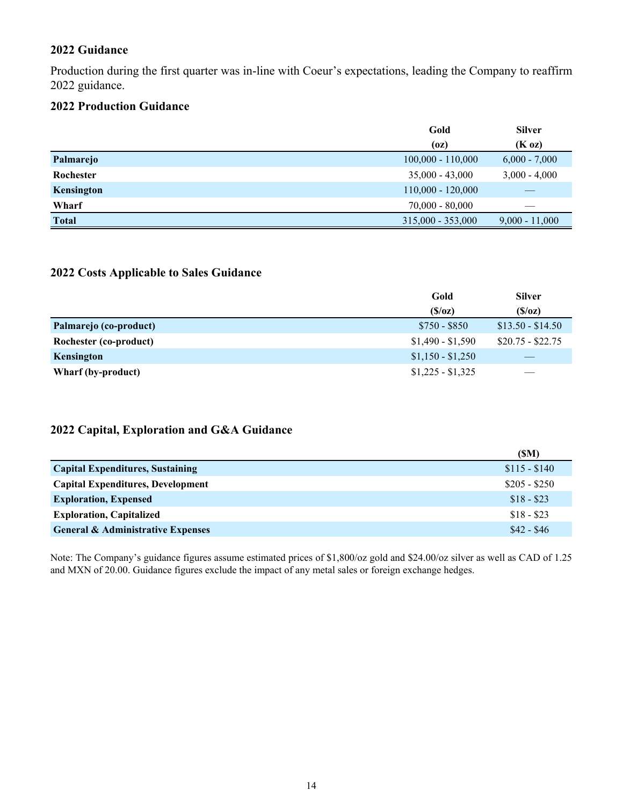## **2022 Guidance**

Production during the first quarter was in-line with Coeur's expectations, leading the Company to reaffirm 2022 guidance.

## **2022 Production Guidance**

|              | Gold                | <b>Silver</b>    |
|--------------|---------------------|------------------|
|              | (oz)                | (K oz)           |
| Palmarejo    | $100,000 - 110,000$ | $6,000 - 7,000$  |
| Rochester    | $35,000 - 43,000$   | $3,000 - 4,000$  |
| Kensington   | $110,000 - 120,000$ |                  |
| Wharf        | $70,000 - 80,000$   |                  |
| <b>Total</b> | $315,000 - 353,000$ | $9,000 - 11,000$ |

## **2022 Costs Applicable to Sales Guidance**

|                        | Gold              | <b>Silver</b>     |
|------------------------|-------------------|-------------------|
|                        | (S/Oz)            | (S/Oz)            |
| Palmarejo (co-product) | $$750 - $850$     | $$13.50 - $14.50$ |
| Rochester (co-product) | $$1,490 - $1,590$ | $$20.75 - $22.75$ |
| Kensington             | $$1,150 - $1,250$ |                   |
| Wharf (by-product)     | $$1,225 - $1,325$ |                   |

# **2022 Capital, Exploration and G&A Guidance**

|                                              | (SM)          |
|----------------------------------------------|---------------|
| <b>Capital Expenditures, Sustaining</b>      | $$115 - $140$ |
| <b>Capital Expenditures, Development</b>     | $$205 - $250$ |
| <b>Exploration, Expensed</b>                 | $$18 - $23$   |
| <b>Exploration, Capitalized</b>              | $$18 - $23$   |
| <b>General &amp; Administrative Expenses</b> | $$42 - $46$   |

Note: The Company's guidance figures assume estimated prices of \$1,800/oz gold and \$24.00/oz silver as well as CAD of 1.25 and MXN of 20.00. Guidance figures exclude the impact of any metal sales or foreign exchange hedges.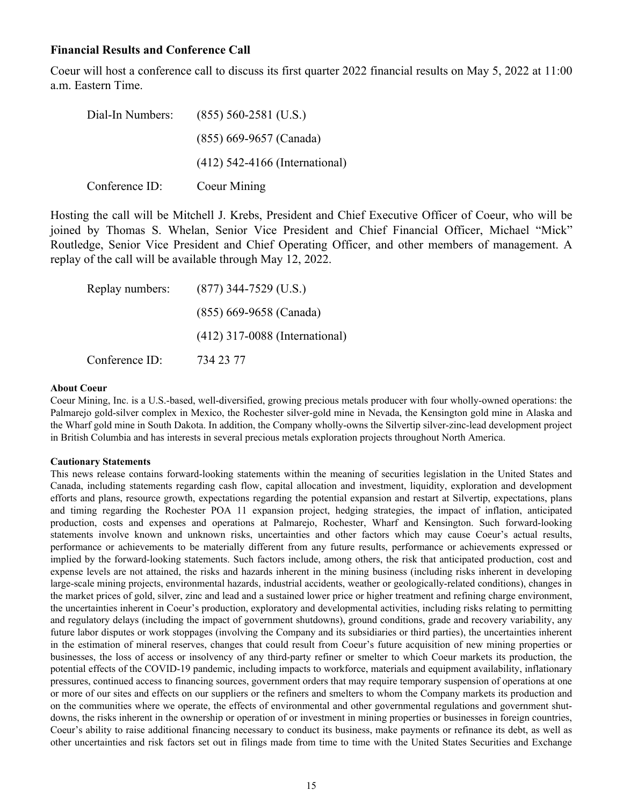## **Financial Results and Conference Call**

Coeur will host a conference call to discuss its first quarter 2022 financial results on May 5, 2022 at 11:00 a.m. Eastern Time.

| Dial-In Numbers: | $(855)$ 560-2581 (U.S.)          |
|------------------|----------------------------------|
|                  | $(855)$ 669-9657 (Canada)        |
|                  | $(412)$ 542-4166 (International) |
| Conference ID:   | Coeur Mining                     |

Hosting the call will be Mitchell J. Krebs, President and Chief Executive Officer of Coeur, who will be joined by Thomas S. Whelan, Senior Vice President and Chief Financial Officer, Michael "Mick" Routledge, Senior Vice President and Chief Operating Officer, and other members of management. A replay of the call will be available through May 12, 2022.

| Replay numbers: | $(877)$ 344-7529 (U.S.)          |
|-----------------|----------------------------------|
|                 | (855) 669-9658 (Canada)          |
|                 | $(412)$ 317-0088 (International) |
| Conference ID:  | 734 23 77                        |

### **About Coeur**

Coeur Mining, Inc. is a U.S.-based, well-diversified, growing precious metals producer with four wholly-owned operations: the Palmarejo gold-silver complex in Mexico, the Rochester silver-gold mine in Nevada, the Kensington gold mine in Alaska and the Wharf gold mine in South Dakota. In addition, the Company wholly-owns the Silvertip silver-zinc-lead development project in British Columbia and has interests in several precious metals exploration projects throughout North America.

### **Cautionary Statements**

This news release contains forward-looking statements within the meaning of securities legislation in the United States and Canada, including statements regarding cash flow, capital allocation and investment, liquidity, exploration and development efforts and plans, resource growth, expectations regarding the potential expansion and restart at Silvertip, expectations, plans and timing regarding the Rochester POA 11 expansion project, hedging strategies, the impact of inflation, anticipated production, costs and expenses and operations at Palmarejo, Rochester, Wharf and Kensington. Such forward-looking statements involve known and unknown risks, uncertainties and other factors which may cause Coeur's actual results, performance or achievements to be materially different from any future results, performance or achievements expressed or implied by the forward-looking statements. Such factors include, among others, the risk that anticipated production, cost and expense levels are not attained, the risks and hazards inherent in the mining business (including risks inherent in developing large-scale mining projects, environmental hazards, industrial accidents, weather or geologically-related conditions), changes in the market prices of gold, silver, zinc and lead and a sustained lower price or higher treatment and refining charge environment, the uncertainties inherent in Coeur's production, exploratory and developmental activities, including risks relating to permitting and regulatory delays (including the impact of government shutdowns), ground conditions, grade and recovery variability, any future labor disputes or work stoppages (involving the Company and its subsidiaries or third parties), the uncertainties inherent in the estimation of mineral reserves, changes that could result from Coeur's future acquisition of new mining properties or businesses, the loss of access or insolvency of any third-party refiner or smelter to which Coeur markets its production, the potential effects of the COVID-19 pandemic, including impacts to workforce, materials and equipment availability, inflationary pressures, continued access to financing sources, government orders that may require temporary suspension of operations at one or more of our sites and effects on our suppliers or the refiners and smelters to whom the Company markets its production and on the communities where we operate, the effects of environmental and other governmental regulations and government shutdowns, the risks inherent in the ownership or operation of or investment in mining properties or businesses in foreign countries, Coeur's ability to raise additional financing necessary to conduct its business, make payments or refinance its debt, as well as other uncertainties and risk factors set out in filings made from time to time with the United States Securities and Exchange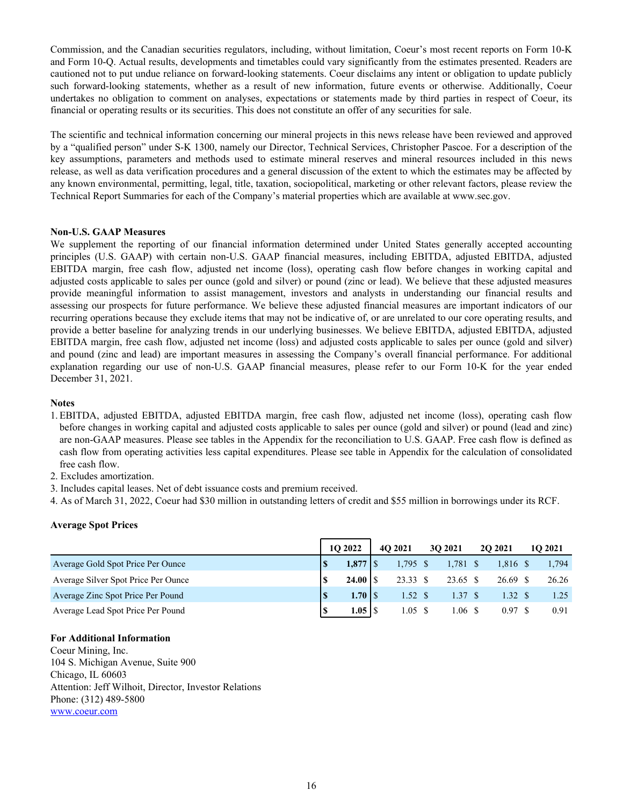Commission, and the Canadian securities regulators, including, without limitation, Coeur's most recent reports on Form 10-K and Form 10-Q. Actual results, developments and timetables could vary significantly from the estimates presented. Readers are cautioned not to put undue reliance on forward-looking statements. Coeur disclaims any intent or obligation to update publicly such forward-looking statements, whether as a result of new information, future events or otherwise. Additionally, Coeur undertakes no obligation to comment on analyses, expectations or statements made by third parties in respect of Coeur, its financial or operating results or its securities. This does not constitute an offer of any securities for sale.

The scientific and technical information concerning our mineral projects in this news release have been reviewed and approved by a "qualified person" under S-K 1300, namely our Director, Technical Services, Christopher Pascoe. For a description of the key assumptions, parameters and methods used to estimate mineral reserves and mineral resources included in this news release, as well as data verification procedures and a general discussion of the extent to which the estimates may be affected by any known environmental, permitting, legal, title, taxation, sociopolitical, marketing or other relevant factors, please review the Technical Report Summaries for each of the Company's material properties which are available at www.sec.gov.

### **Non-U.S. GAAP Measures**

We supplement the reporting of our financial information determined under United States generally accepted accounting principles (U.S. GAAP) with certain non-U.S. GAAP financial measures, including EBITDA, adjusted EBITDA, adjusted EBITDA margin, free cash flow, adjusted net income (loss), operating cash flow before changes in working capital and adjusted costs applicable to sales per ounce (gold and silver) or pound (zinc or lead). We believe that these adjusted measures provide meaningful information to assist management, investors and analysts in understanding our financial results and assessing our prospects for future performance. We believe these adjusted financial measures are important indicators of our recurring operations because they exclude items that may not be indicative of, or are unrelated to our core operating results, and provide a better baseline for analyzing trends in our underlying businesses. We believe EBITDA, adjusted EBITDA, adjusted EBITDA margin, free cash flow, adjusted net income (loss) and adjusted costs applicable to sales per ounce (gold and silver) and pound (zinc and lead) are important measures in assessing the Company's overall financial performance. For additional explanation regarding our use of non-U.S. GAAP financial measures, please refer to our Form 10-K for the year ended December 31, 2021.

### **Notes**

- 1. EBITDA, adjusted EBITDA, adjusted EBITDA margin, free cash flow, adjusted net income (loss), operating cash flow before changes in working capital and adjusted costs applicable to sales per ounce (gold and silver) or pound (lead and zinc) are non-GAAP measures. Please see tables in the Appendix for the reconciliation to U.S. GAAP. Free cash flow is defined as cash flow from operating activities less capital expenditures. Please see table in Appendix for the calculation of consolidated free cash flow.
- 2. Excludes amortization.
- 3. Includes capital leases. Net of debt issuance costs and premium received.
- 4. As of March 31, 2022, Coeur had \$30 million in outstanding letters of credit and \$55 million in borrowings under its RCF.

#### **Average Spot Prices**

|                                     | 1O 2022            | 4O 2021            | 30 2021    | <b>2O 2021</b>     | 1O 2021 |
|-------------------------------------|--------------------|--------------------|------------|--------------------|---------|
| Average Gold Spot Price Per Ounce   | $1,877$   \$       | $1,795$ \$         | $1,781$ \$ | 1.816 \$           | 1,794   |
| Average Silver Spot Price Per Ounce | $24.00 \text{ S}$  | $23.33$ \$         | 23.65 \$   | 26.69 \$           | 26.26   |
| Average Zinc Spot Price Per Pound   | 1.70 $\frac{1}{s}$ | $1.52 \text{ }$ \$ | 1.37S      | $1.32 \text{ }$ \$ |         |
| Average Lead Spot Price Per Pound   | $1.05$   S         | 1.05 S             | 1.06 \$    | 0.97S              | 0.91    |

#### **For Additional Information**

Coeur Mining, Inc. 104 S. Michigan Avenue, Suite 900 Chicago, IL 60603 Attention: Jeff Wilhoit, Director, Investor Relations Phone: (312) 489-5800 www.coeur.com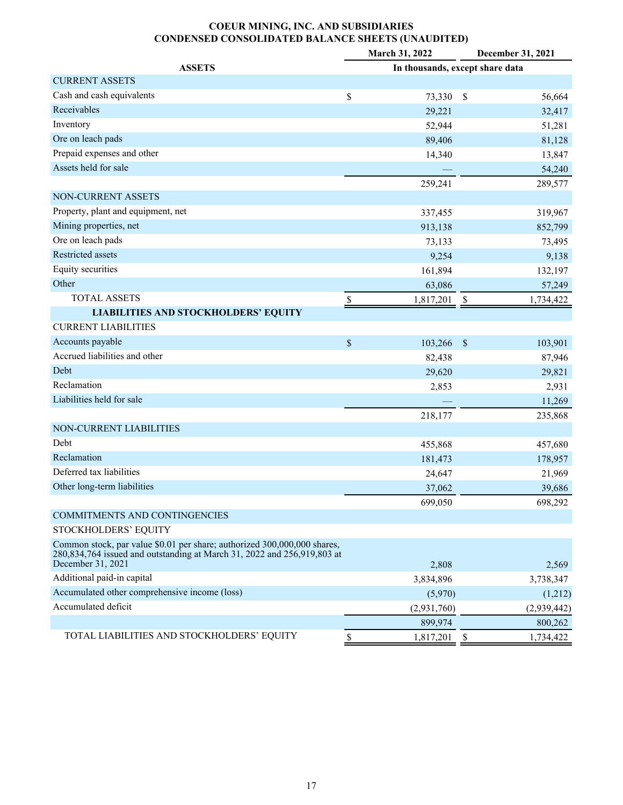## **COEUR MINING, INC. AND SUBSIDIARIES CONDENSED CONSOLIDATED BALANCE SHEETS (UNAUDITED)**

|                                                                                                                                                                          | March 31, 2022<br>December 31, 2021 |             |                                 |  |  |  |  |  |
|--------------------------------------------------------------------------------------------------------------------------------------------------------------------------|-------------------------------------|-------------|---------------------------------|--|--|--|--|--|
| <b>ASSETS</b>                                                                                                                                                            |                                     |             | In thousands, except share data |  |  |  |  |  |
| <b>CURRENT ASSETS</b>                                                                                                                                                    |                                     |             |                                 |  |  |  |  |  |
| Cash and cash equivalents                                                                                                                                                | \$                                  | 73,330      | 56,664<br>- \$                  |  |  |  |  |  |
| Receivables                                                                                                                                                              |                                     | 29,221      | 32,417                          |  |  |  |  |  |
| Inventory                                                                                                                                                                |                                     | 52,944      | 51,281                          |  |  |  |  |  |
| Ore on leach pads                                                                                                                                                        |                                     | 89,406      | 81,128                          |  |  |  |  |  |
| Prepaid expenses and other                                                                                                                                               |                                     | 14,340      | 13,847                          |  |  |  |  |  |
| Assets held for sale                                                                                                                                                     |                                     |             | 54,240                          |  |  |  |  |  |
|                                                                                                                                                                          |                                     | 259,241     | 289,577                         |  |  |  |  |  |
| NON-CURRENT ASSETS                                                                                                                                                       |                                     |             |                                 |  |  |  |  |  |
| Property, plant and equipment, net                                                                                                                                       |                                     | 337,455     | 319,967                         |  |  |  |  |  |
| Mining properties, net                                                                                                                                                   |                                     | 913,138     | 852,799                         |  |  |  |  |  |
| Ore on leach pads                                                                                                                                                        |                                     | 73,133      | 73,495                          |  |  |  |  |  |
| Restricted assets                                                                                                                                                        |                                     | 9,254       | 9,138                           |  |  |  |  |  |
| Equity securities                                                                                                                                                        |                                     | 161,894     | 132,197                         |  |  |  |  |  |
| Other                                                                                                                                                                    |                                     | 63,086      | 57,249                          |  |  |  |  |  |
| <b>TOTAL ASSETS</b>                                                                                                                                                      | \$                                  | 1,817,201   | $\mathbf{s}$<br>1,734,422       |  |  |  |  |  |
| <b>LIABILITIES AND STOCKHOLDERS' EQUITY</b>                                                                                                                              |                                     |             |                                 |  |  |  |  |  |
| <b>CURRENT LIABILITIES</b>                                                                                                                                               |                                     |             |                                 |  |  |  |  |  |
| Accounts payable                                                                                                                                                         | \$                                  | 103,266     | $\mathcal{S}$<br>103,901        |  |  |  |  |  |
| Accrued liabilities and other                                                                                                                                            |                                     | 82,438      | 87,946                          |  |  |  |  |  |
| Debt                                                                                                                                                                     |                                     | 29,620      | 29,821                          |  |  |  |  |  |
| Reclamation                                                                                                                                                              |                                     | 2,853       | 2,931                           |  |  |  |  |  |
| Liabilities held for sale                                                                                                                                                |                                     |             | 11,269                          |  |  |  |  |  |
|                                                                                                                                                                          |                                     | 218,177     | 235,868                         |  |  |  |  |  |
| NON-CURRENT LIABILITIES                                                                                                                                                  |                                     |             |                                 |  |  |  |  |  |
| Debt                                                                                                                                                                     |                                     | 455,868     | 457,680                         |  |  |  |  |  |
| Reclamation                                                                                                                                                              |                                     | 181,473     | 178,957                         |  |  |  |  |  |
| Deferred tax liabilities                                                                                                                                                 |                                     | 24,647      | 21,969                          |  |  |  |  |  |
| Other long-term liabilities                                                                                                                                              |                                     | 37,062      | 39,686                          |  |  |  |  |  |
|                                                                                                                                                                          |                                     | 699,050     | 698,292                         |  |  |  |  |  |
| COMMITMENTS AND CONTINGENCIES                                                                                                                                            |                                     |             |                                 |  |  |  |  |  |
| STOCKHOLDERS' EQUITY                                                                                                                                                     |                                     |             |                                 |  |  |  |  |  |
| Common stock, par value \$0.01 per share; authorized 300,000,000 shares,<br>280,834,764 issued and outstanding at March 31, 2022 and 256,919,803 at<br>December 31, 2021 |                                     | 2,808       | 2,569                           |  |  |  |  |  |
| Additional paid-in capital                                                                                                                                               |                                     | 3,834,896   | 3,738,347                       |  |  |  |  |  |
| Accumulated other comprehensive income (loss)                                                                                                                            |                                     | (5,970)     | (1,212)                         |  |  |  |  |  |
| Accumulated deficit                                                                                                                                                      |                                     | (2,931,760) | (2,939,442)                     |  |  |  |  |  |
|                                                                                                                                                                          |                                     | 899,974     | 800,262                         |  |  |  |  |  |
| TOTAL LIABILITIES AND STOCKHOLDERS' EQUITY                                                                                                                               |                                     |             | 1,734,422                       |  |  |  |  |  |
|                                                                                                                                                                          | \$                                  | 1,817,201   | -S                              |  |  |  |  |  |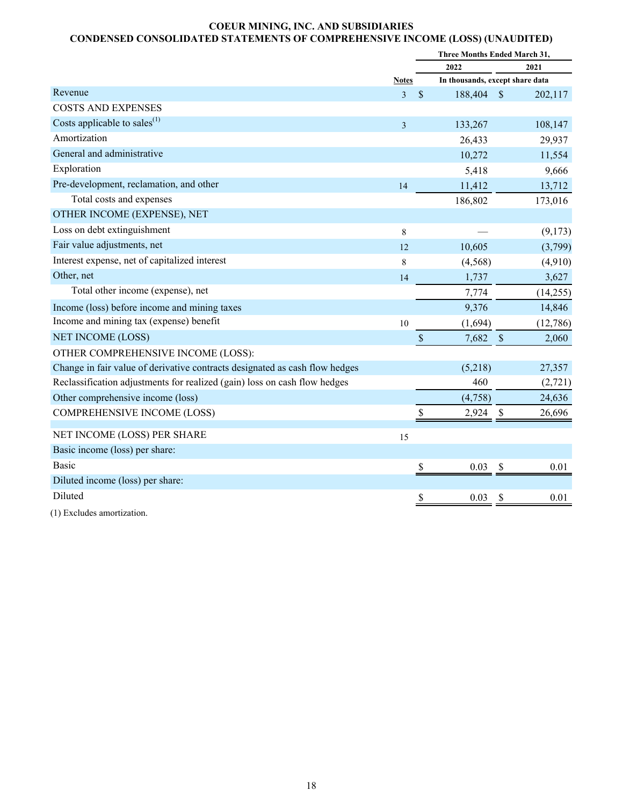## **COEUR MINING, INC. AND SUBSIDIARIES CONDENSED CONSOLIDATED STATEMENTS OF COMPREHENSIVE INCOME (LOSS) (UNAUDITED)**

|                                                                             |                |    | Three Months Ended March 31,    |               |          |
|-----------------------------------------------------------------------------|----------------|----|---------------------------------|---------------|----------|
|                                                                             |                |    | 2022                            |               | 2021     |
|                                                                             | <b>Notes</b>   |    | In thousands, except share data |               |          |
| Revenue                                                                     | $\overline{3}$ | \$ | 188,404                         | <sup>\$</sup> | 202,117  |
| <b>COSTS AND EXPENSES</b>                                                   |                |    |                                 |               |          |
| Costs applicable to sales $^{(1)}$                                          | $\overline{3}$ |    | 133,267                         |               | 108,147  |
| Amortization                                                                |                |    | 26,433                          |               | 29,937   |
| General and administrative                                                  |                |    | 10,272                          |               | 11,554   |
| Exploration                                                                 |                |    | 5,418                           |               | 9,666    |
| Pre-development, reclamation, and other                                     | 14             |    | 11,412                          |               | 13,712   |
| Total costs and expenses                                                    |                |    | 186,802                         |               | 173,016  |
| OTHER INCOME (EXPENSE), NET                                                 |                |    |                                 |               |          |
| Loss on debt extinguishment                                                 | 8              |    |                                 |               | (9,173)  |
| Fair value adjustments, net                                                 | 12             |    | 10,605                          |               | (3,799)  |
| Interest expense, net of capitalized interest                               | 8              |    | (4, 568)                        |               | (4,910)  |
| Other, net                                                                  | 14             |    | 1,737                           |               | 3,627    |
| Total other income (expense), net                                           |                |    | 7,774                           |               | (14,255) |
| Income (loss) before income and mining taxes                                |                |    | 9,376                           |               | 14,846   |
| Income and mining tax (expense) benefit                                     | 10             |    | (1,694)                         |               | (12,786) |
| <b>NET INCOME (LOSS)</b>                                                    |                | \$ | 7,682                           | $\mathcal{S}$ | 2,060    |
| OTHER COMPREHENSIVE INCOME (LOSS):                                          |                |    |                                 |               |          |
| Change in fair value of derivative contracts designated as cash flow hedges |                |    | (5,218)                         |               | 27,357   |
| Reclassification adjustments for realized (gain) loss on cash flow hedges   |                |    | 460                             |               | (2, 721) |
| Other comprehensive income (loss)                                           |                |    | (4,758)                         |               | 24,636   |
| <b>COMPREHENSIVE INCOME (LOSS)</b>                                          |                |    | 2,924                           | \$            | 26,696   |
| NET INCOME (LOSS) PER SHARE                                                 | 15             |    |                                 |               |          |
| Basic income (loss) per share:                                              |                |    |                                 |               |          |
| <b>Basic</b>                                                                |                | S  | 0.03                            | \$            | 0.01     |
| Diluted income (loss) per share:                                            |                |    |                                 |               |          |
| Diluted                                                                     |                | \$ | 0.03                            | \$            | 0.01     |
|                                                                             |                |    |                                 |               |          |

(1) Excludes amortization.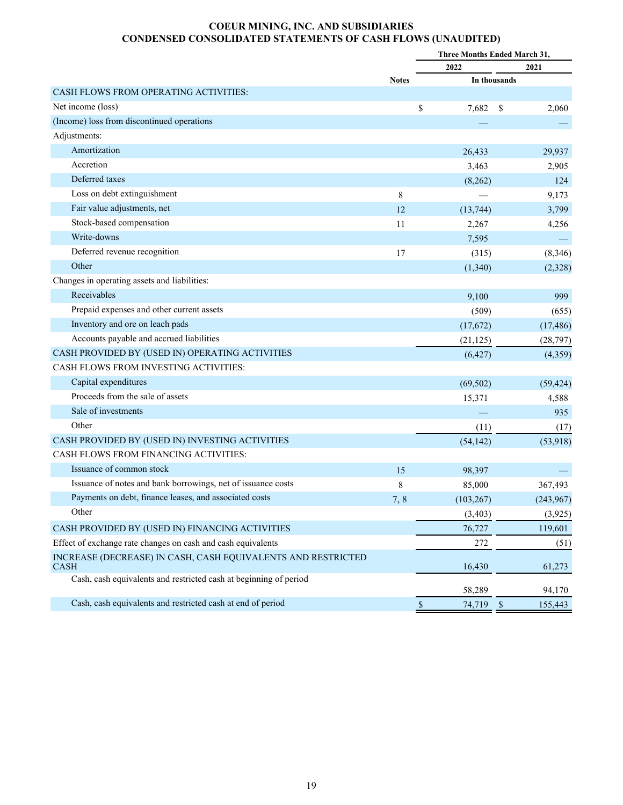## **COEUR MINING, INC. AND SUBSIDIARIES CONDENSED CONSOLIDATED STATEMENTS OF CASH FLOWS (UNAUDITED)**

|                                                                             |              |                   | <b>Three Months Ended March 31,</b> |
|-----------------------------------------------------------------------------|--------------|-------------------|-------------------------------------|
|                                                                             |              | 2022              | 2021                                |
|                                                                             | <b>Notes</b> |                   | In thousands                        |
| <b>CASH FLOWS FROM OPERATING ACTIVITIES:</b>                                |              |                   |                                     |
| Net income (loss)                                                           |              | \$<br>7,682       | 2,060<br>-S                         |
| (Income) loss from discontinued operations                                  |              |                   |                                     |
| Adjustments:                                                                |              |                   |                                     |
| Amortization                                                                |              | 26,433            | 29,937                              |
| Accretion                                                                   |              | 3,463             | 2,905                               |
| Deferred taxes                                                              |              | (8,262)           | 124                                 |
| Loss on debt extinguishment                                                 | 8            |                   | 9,173                               |
| Fair value adjustments, net                                                 | 12           | (13, 744)         | 3,799                               |
| Stock-based compensation                                                    | 11           | 2,267             | 4,256                               |
| Write-downs                                                                 |              | 7,595             |                                     |
| Deferred revenue recognition                                                | 17           | (315)             | (8,346)                             |
| Other                                                                       |              | (1,340)           | (2,328)                             |
| Changes in operating assets and liabilities:                                |              |                   |                                     |
| Receivables                                                                 |              | 9,100             | 999                                 |
| Prepaid expenses and other current assets                                   |              | (509)             | (655)                               |
| Inventory and ore on leach pads                                             |              | (17,672)          | (17, 486)                           |
| Accounts payable and accrued liabilities                                    |              | (21, 125)         | (28, 797)                           |
| CASH PROVIDED BY (USED IN) OPERATING ACTIVITIES                             |              | (6, 427)          | (4,359)                             |
| <b>CASH FLOWS FROM INVESTING ACTIVITIES:</b>                                |              |                   |                                     |
| Capital expenditures                                                        |              | (69, 502)         | (59, 424)                           |
| Proceeds from the sale of assets                                            |              | 15,371            | 4,588                               |
| Sale of investments                                                         |              |                   | 935                                 |
| Other                                                                       |              | (11)              | (17)                                |
| CASH PROVIDED BY (USED IN) INVESTING ACTIVITIES                             |              | (54, 142)         | (53,918)                            |
| CASH FLOWS FROM FINANCING ACTIVITIES:                                       |              |                   |                                     |
| Issuance of common stock                                                    | 15           | 98,397            |                                     |
| Issuance of notes and bank borrowings, net of issuance costs                | 8            | 85,000            | 367,493                             |
| Payments on debt, finance leases, and associated costs                      | 7, 8         | (103, 267)        | (243,967)                           |
| Other                                                                       |              | (3, 403)          | (3,925)                             |
| CASH PROVIDED BY (USED IN) FINANCING ACTIVITIES                             |              | 76,727            | 119,601                             |
| Effect of exchange rate changes on cash and cash equivalents                |              | 272               | (51)                                |
| INCREASE (DECREASE) IN CASH, CASH EQUIVALENTS AND RESTRICTED<br><b>CASH</b> |              | 16,430            | 61,273                              |
| Cash, cash equivalents and restricted cash at beginning of period           |              | 58,289            | 94,170                              |
| Cash, cash equivalents and restricted cash at end of period                 |              | $\$$<br>74,719 \$ | 155,443                             |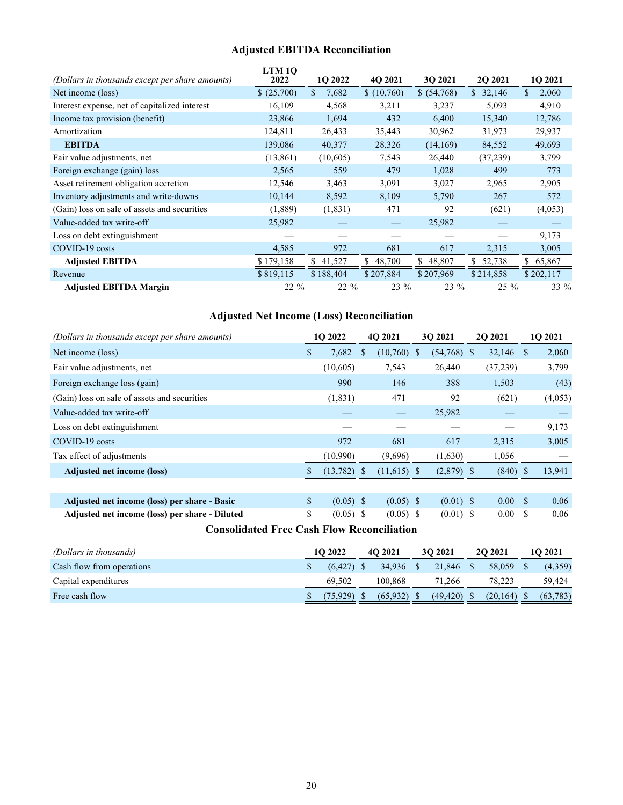# **Adjusted EBITDA Reconciliation**

|                                                 | LTM10     |             |           |             |              |                       |
|-------------------------------------------------|-----------|-------------|-----------|-------------|--------------|-----------------------|
| (Dollars in thousands except per share amounts) | 2022      | 1Q 2022     | 4Q 2021   | 3Q 2021     | 2Q 2021      | 1Q 2021               |
| Net income (loss)                               | (25,700)  | \$<br>7,682 | (10,760)  | \$ (54,768) | \$32,146     | 2,060<br>$\mathbb{S}$ |
| Interest expense, net of capitalized interest   | 16,109    | 4,568       | 3,211     | 3,237       | 5,093        | 4,910                 |
| Income tax provision (benefit)                  | 23,866    | 1,694       | 432       | 6,400       | 15,340       | 12,786                |
| Amortization                                    | 124,811   | 26,433      | 35,443    | 30,962      | 31,973       | 29,937                |
| <b>EBITDA</b>                                   | 139,086   | 40,377      | 28,326    | (14,169)    | 84,552       | 49,693                |
| Fair value adjustments, net                     | (13, 861) | (10,605)    | 7,543     | 26,440      | (37,239)     | 3,799                 |
| Foreign exchange (gain) loss                    | 2,565     | 559         | 479       | 1,028       | 499          | 773                   |
| Asset retirement obligation accretion           | 12,546    | 3,463       | 3,091     | 3,027       | 2,965        | 2,905                 |
| Inventory adjustments and write-downs           | 10,144    | 8,592       | 8,109     | 5,790       | 267          | 572                   |
| (Gain) loss on sale of assets and securities    | (1,889)   | (1, 831)    | 471       | 92          | (621)        | (4,053)               |
| Value-added tax write-off                       | 25,982    |             |           | 25,982      |              |                       |
| Loss on debt extinguishment                     |           |             |           |             |              | 9,173                 |
| COVID-19 costs                                  | 4,585     | 972         | 681       | 617         | 2,315        | 3,005                 |
| <b>Adjusted EBITDA</b>                          | \$179,158 | \$41,527    | \$48,700  | \$48,807    | 52,738<br>\$ | \$65,867              |
| Revenue                                         | \$819,115 | \$188,404   | \$207,884 | \$207,969   | \$214,858    | \$202,117             |
| <b>Adjusted EBITDA Margin</b>                   | $22\%$    | $22\%$      | 23 %      | 23 %        | $25\%$       | 33 %                  |

# **Adjusted Net Income (Loss) Reconciliation**

| (Dollars in thousands except per share amounts) |               | 1O 2022     |              | 4O 2021       | 30 2021       | <b>2O 2021</b>    |               | 1O 2021 |
|-------------------------------------------------|---------------|-------------|--------------|---------------|---------------|-------------------|---------------|---------|
| Net income (loss)                               | <sup>\$</sup> | 7,682       | <sup>S</sup> | $(10,760)$ \$ | $(54,768)$ \$ | 32,146            | -S            | 2,060   |
| Fair value adjustments, net                     |               | (10,605)    |              | 7,543         | 26,440        | (37,239)          |               | 3,799   |
| Foreign exchange loss (gain)                    |               | 990         |              | 146           | 388           | 1,503             |               | (43)    |
| (Gain) loss on sale of assets and securities    |               | (1, 831)    |              | 471           | 92            | (621)             |               | (4,053) |
| Value-added tax write-off                       |               |             |              |               | 25,982        |                   |               |         |
| Loss on debt extinguishment                     |               |             |              |               |               |                   |               | 9,173   |
| COVID-19 costs                                  |               | 972         |              | 681           | 617           | 2,315             |               | 3,005   |
| Tax effect of adjustments                       |               | (10,990)    |              | (9,696)       | (1,630)       | 1,056             |               |         |
| <b>Adjusted net income (loss)</b>               |               | (13,782)    | -S           | $(11,615)$ \$ | $(2,879)$ \$  | (840)             |               | 13,941  |
|                                                 |               |             |              |               |               |                   |               |         |
| Adjusted net income (loss) per share - Basic    | \$            | $(0.05)$ \$ |              | $(0.05)$ \$   | $(0.01)$ \$   | 0.00 <sub>1</sub> | <sup>\$</sup> | 0.06    |
| Adjusted net income (loss) per share - Diluted  | \$            | $(0.05)$ \$ |              | $(0.05)$ \$   | $(0.01)$ \$   | $0.00\,$          | S             | 0.06    |

**Consolidated Free Cash Flow Reconciliation**

| (Dollars in thousands)    | 10 2022      | 4O 2021   | 30 2021   | <b>20 20 21</b> | 10 2021   |
|---------------------------|--------------|-----------|-----------|-----------------|-----------|
| Cash flow from operations | $(6.427)$ \$ | 34.936    | 21,846    | 58.059          | (4,359)   |
| Capital expenditures      | 69.502       | 100.868   | 71.266    | 78.223          | 59.424    |
| Free cash flow            | 75.929)      | (65, 932) | (49, 420) | (20, 164)       | (63, 783) |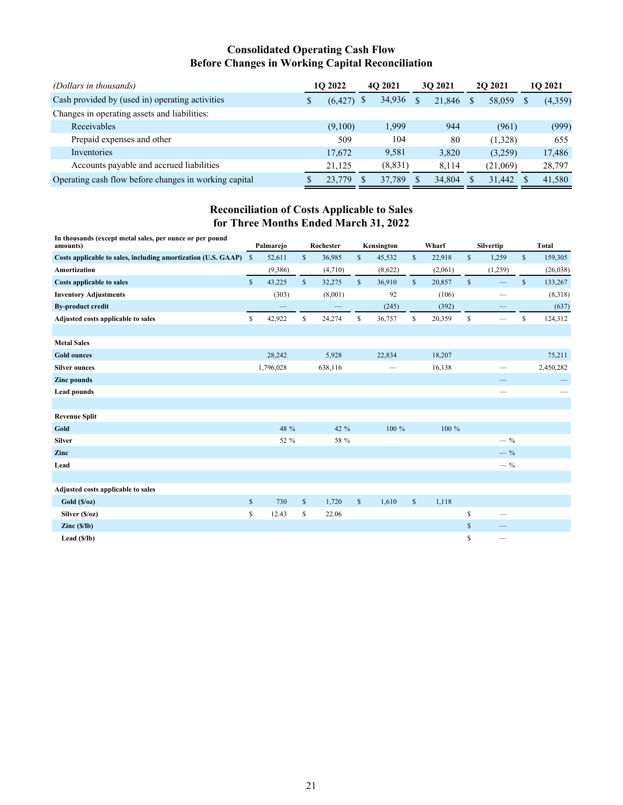## **Consolidated Operating Cash Flow Before Changes in Working Capital Reconciliation**

| (Dollars in thousands)                                | 1O 2022  | 40 2021        | 30 2021 | <b>202021</b> | 10 2021 |  |
|-------------------------------------------------------|----------|----------------|---------|---------------|---------|--|
| Cash provided by (used in) operating activities       | (6, 427) | 34,936<br>- \$ | 21,846  | 58,059        | (4,359) |  |
| Changes in operating assets and liabilities:          |          |                |         |               |         |  |
| Receivables                                           | (9,100)  | 1,999          | 944     | (961)         | (999)   |  |
| Prepaid expenses and other                            | 509      | 104            | 80      | (1,328)       | 655     |  |
| Inventories                                           | 17,672   | 9,581          | 3,820   | (3,259)       | 17,486  |  |
| Accounts payable and accrued liabilities              | 21.125   | (8, 831)       | 8.114   | (21,069)      | 28,797  |  |
| Operating cash flow before changes in working capital | 23,779   | 37.789         | 34,804  | 31.442        | 41,580  |  |

# **Reconciliation of Costs Applicable to Sales for Three Months Ended March 31, 2022**

| In thousands (except metal sales, per ounce or per pound<br>amounts) |               | Palmarejo |              | Rochester |              | Kensington |              | Wharf   |              | Silvertip                |              | <b>Total</b> |
|----------------------------------------------------------------------|---------------|-----------|--------------|-----------|--------------|------------|--------------|---------|--------------|--------------------------|--------------|--------------|
| Costs applicable to sales, including amortization (U.S. GAAP)        | <sup>\$</sup> | 52,611    | $\mathbb{S}$ | 36,985    | \$           | 45,532     | $\mathbb{S}$ | 22,918  | $\mathbb{S}$ | 1,259                    | $\mathbb{S}$ | 159,305      |
| Amortization                                                         |               | (9,386)   |              | (4,710)   |              | (8,622)    |              | (2,061) |              | (1,259)                  |              | (26, 038)    |
| <b>Costs applicable to sales</b>                                     | $\mathbb{S}$  | 43,225    | $\mathbb{S}$ | 32,275    | $\mathbb{S}$ | 36,910     | $\mathbb{S}$ | 20,857  | \$           |                          | $\mathbb{S}$ | 133,267      |
| <b>Inventory Adjustments</b>                                         |               | (303)     |              | (8,001)   |              | 92         |              | (106)   |              |                          |              | (8,318)      |
| <b>By-product credit</b>                                             |               |           |              |           |              | (245)      |              | (392)   |              |                          |              | (637)        |
| Adjusted costs applicable to sales                                   | \$            | 42,922    | \$           | 24,274    | \$           | 36,757     | \$           | 20,359  | \$           | $\overline{\phantom{0}}$ | \$           | 124,312      |
|                                                                      |               |           |              |           |              |            |              |         |              |                          |              |              |
| <b>Metal Sales</b>                                                   |               |           |              |           |              |            |              |         |              |                          |              |              |
| <b>Gold ounces</b>                                                   |               | 28,242    |              | 5,928     |              | 22,834     |              | 18,207  |              |                          |              | 75,211       |
| <b>Silver ounces</b>                                                 |               | 1,796,028 |              | 638,116   |              |            |              | 16,138  |              |                          |              | 2,450,282    |
| <b>Zinc pounds</b>                                                   |               |           |              |           |              |            |              |         |              |                          |              |              |
| <b>Lead pounds</b>                                                   |               |           |              |           |              |            |              |         |              |                          |              |              |
|                                                                      |               |           |              |           |              |            |              |         |              |                          |              |              |
| <b>Revenue Split</b>                                                 |               |           |              |           |              |            |              |         |              |                          |              |              |
| Gold                                                                 |               | 48 %      |              | 42 %      |              | 100 %      |              | 100 %   |              |                          |              |              |
| <b>Silver</b>                                                        |               | 52 %      |              | 58 %      |              |            |              |         |              | $-$ %                    |              |              |
| Zinc                                                                 |               |           |              |           |              |            |              |         |              | $-$ %                    |              |              |
| Lead                                                                 |               |           |              |           |              |            |              |         |              | $-$ %                    |              |              |
|                                                                      |               |           |              |           |              |            |              |         |              |                          |              |              |
| Adjusted costs applicable to sales                                   |               |           |              |           |              |            |              |         |              |                          |              |              |
| Gold(S/oz)                                                           | $\mathbb{S}$  | 730       | $\mathbb{S}$ | 1,720     | $\mathbb{S}$ | 1,610      | $\mathbb{S}$ | 1,118   |              |                          |              |              |
| Silver (\$/oz)                                                       | \$            | 12.43     | \$           | 22.06     |              |            |              |         | \$           |                          |              |              |
| $\text{Zinc}(\S/\text{lb})$                                          |               |           |              |           |              |            |              |         | \$           |                          |              |              |
| Lead $(S/lb)$                                                        |               |           |              |           |              |            |              |         | \$           |                          |              |              |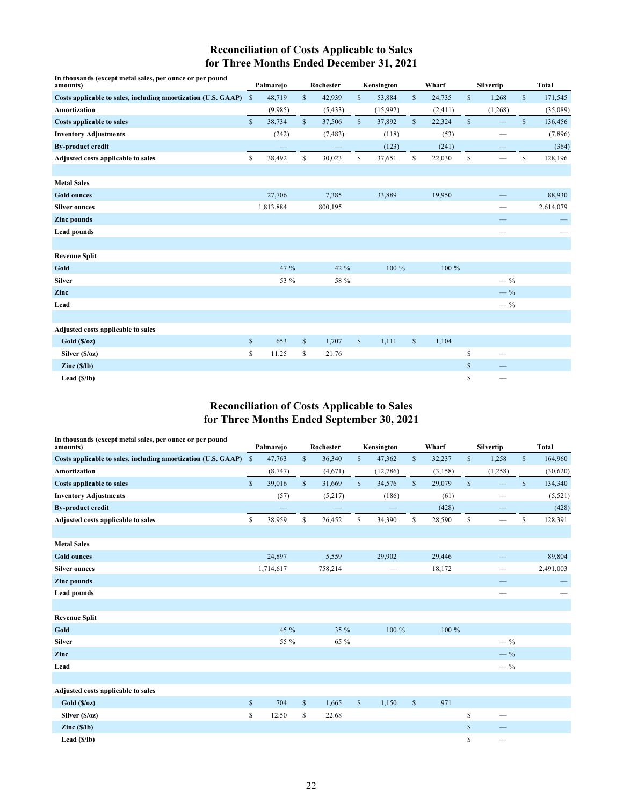# **Reconciliation of Costs Applicable to Sales for Three Months Ended December 31, 2021**

| In thousands (except metal sales, per ounce or per pound<br>amounts) |              | Palmarejo |              | Rochester |              | Kensington |              | Wharf   |              | Silvertip         |              | <b>Total</b> |
|----------------------------------------------------------------------|--------------|-----------|--------------|-----------|--------------|------------|--------------|---------|--------------|-------------------|--------------|--------------|
| Costs applicable to sales, including amortization (U.S. GAAP)        | $\mathbb{S}$ | 48,719    | $\mathbb{S}$ | 42,939    | \$           | 53,884     | $\mathbb{S}$ | 24,735  | $\mathbb{S}$ | 1,268             | $\mathbb{S}$ | 171,545      |
| <b>Amortization</b>                                                  |              | (9,985)   |              | (5, 433)  |              | (15,992)   |              | (2,411) |              | (1, 268)          |              | (35,089)     |
| <b>Costs applicable to sales</b>                                     | $\mathbb{S}$ | 38,734    | $\mathbb{S}$ | 37,506    | $\mathbb{S}$ | 37,892     | $\mathbb{S}$ | 22,324  | $\mathbb{S}$ |                   | $\mathbb{S}$ | 136,456      |
| <b>Inventory Adjustments</b>                                         |              | (242)     |              | (7, 483)  |              | (118)      |              | (53)    |              | -                 |              | (7,896)      |
| <b>By-product credit</b>                                             |              |           |              |           |              | (123)      |              | (241)   |              |                   |              | (364)        |
| Adjusted costs applicable to sales                                   | \$           | 38,492    | \$           | 30,023    | \$           | 37,651     | \$           | 22,030  | \$           | $\hspace{0.05cm}$ | \$           | 128,196      |
|                                                                      |              |           |              |           |              |            |              |         |              |                   |              |              |
| <b>Metal Sales</b>                                                   |              |           |              |           |              |            |              |         |              |                   |              |              |
| <b>Gold ounces</b>                                                   |              | 27,706    |              | 7,385     |              | 33,889     |              | 19,950  |              |                   |              | 88,930       |
| <b>Silver ounces</b>                                                 |              | 1,813,884 |              | 800,195   |              |            |              |         |              |                   |              | 2,614,079    |
| <b>Zinc</b> pounds                                                   |              |           |              |           |              |            |              |         |              |                   |              |              |
| <b>Lead pounds</b>                                                   |              |           |              |           |              |            |              |         |              |                   |              |              |
|                                                                      |              |           |              |           |              |            |              |         |              |                   |              |              |
| <b>Revenue Split</b>                                                 |              |           |              |           |              |            |              |         |              |                   |              |              |
| Gold                                                                 |              | 47 %      |              | 42 %      |              | 100 %      |              | 100 %   |              |                   |              |              |
| <b>Silver</b>                                                        |              | 53 %      |              | 58 %      |              |            |              |         |              | $-$ %             |              |              |
| Zinc                                                                 |              |           |              |           |              |            |              |         |              | $-$ %             |              |              |
| Lead                                                                 |              |           |              |           |              |            |              |         |              | $-$ %             |              |              |
|                                                                      |              |           |              |           |              |            |              |         |              |                   |              |              |
| Adjusted costs applicable to sales                                   |              |           |              |           |              |            |              |         |              |                   |              |              |
| Gold(S/oz)                                                           | $\mathbb S$  | 653       | $\mathbb S$  | 1,707     | $\mathbb{S}$ | 1,111      | $\mathbb{S}$ | 1,104   |              |                   |              |              |
| Silver (\$/oz)                                                       | \$           | 11.25     | \$           | 21.76     |              |            |              |         | \$           |                   |              |              |
| $\text{Zinc}(\frac{\mathsf{S}}{\mathsf{I}})\text{b}$                 |              |           |              |           |              |            |              |         | \$           |                   |              |              |
| Lead $(S/lb)$                                                        |              |           |              |           |              |            |              |         | \$           |                   |              |              |

## **Reconciliation of Costs Applicable to Sales for Three Months Ended September 30, 2021**

| In thousands (except metal sales, per ounce or per pound<br>amounts) |              | Palmarejo |              | Rochester |              | Kensington |              | Wharf   |              | Silvertip                |              | <b>Total</b> |
|----------------------------------------------------------------------|--------------|-----------|--------------|-----------|--------------|------------|--------------|---------|--------------|--------------------------|--------------|--------------|
| Costs applicable to sales, including amortization (U.S. GAAP)        | $\mathbb{S}$ | 47,763    | \$           | 36,340    | \$           | 47,362     | \$           | 32,237  | \$           | 1,258                    | $\mathbb{S}$ | 164,960      |
| <b>Amortization</b>                                                  |              | (8,747)   |              | (4,671)   |              | (12,786)   |              | (3,158) |              | (1,258)                  |              | (30,620)     |
| <b>Costs applicable to sales</b>                                     | $\mathbb{S}$ | 39,016    | $\mathbb{S}$ | 31,669    | $\mathbb{S}$ | 34,576     | $\mathbb{S}$ | 29,079  | $\mathbb{S}$ | $\equiv$                 | $\mathbb{S}$ | 134,340      |
| <b>Inventory Adjustments</b>                                         |              | (57)      |              | (5,217)   |              | (186)      |              | (61)    |              | -                        |              | (5, 521)     |
| <b>By-product credit</b>                                             |              |           |              |           |              |            |              | (428)   |              |                          |              | (428)        |
| Adjusted costs applicable to sales                                   | \$           | 38,959    | \$           | 26,452    | \$           | 34,390     | \$           | 28,590  | \$           | $\overline{\phantom{a}}$ | \$           | 128,391      |
|                                                                      |              |           |              |           |              |            |              |         |              |                          |              |              |
| <b>Metal Sales</b>                                                   |              |           |              |           |              |            |              |         |              |                          |              |              |
| <b>Gold ounces</b>                                                   |              | 24,897    |              | 5,559     |              | 29,902     |              | 29,446  |              |                          |              | 89,804       |
| <b>Silver ounces</b>                                                 |              | 1,714,617 |              | 758,214   |              |            |              | 18,172  |              |                          |              | 2,491,003    |
| <b>Zinc</b> pounds                                                   |              |           |              |           |              |            |              |         |              |                          |              |              |
| <b>Lead pounds</b>                                                   |              |           |              |           |              |            |              |         |              |                          |              |              |
|                                                                      |              |           |              |           |              |            |              |         |              |                          |              |              |
| <b>Revenue Split</b>                                                 |              |           |              |           |              |            |              |         |              |                          |              |              |
| Gold                                                                 |              | 45 %      |              | 35 %      |              | 100 %      |              | 100 %   |              |                          |              |              |
| <b>Silver</b>                                                        |              | 55 %      |              | 65 %      |              |            |              |         |              | $-$ %                    |              |              |
| Zinc                                                                 |              |           |              |           |              |            |              |         |              | $-$ %                    |              |              |
| Lead                                                                 |              |           |              |           |              |            |              |         |              | $-$ %                    |              |              |
|                                                                      |              |           |              |           |              |            |              |         |              |                          |              |              |
| Adjusted costs applicable to sales                                   |              |           |              |           |              |            |              |         |              |                          |              |              |
| Gold(S/oz)                                                           | $\mathbb{S}$ | 704       | $\mathbb{S}$ | 1,665     | $\mathbb{S}$ | 1,150      | $\mathbb{S}$ | 971     |              |                          |              |              |
| Silver (\$/oz)                                                       | \$           | 12.50     | \$           | 22.68     |              |            |              |         | \$           | $\overline{\phantom{0}}$ |              |              |
| $\text{Zinc}(\frac{\mathsf{S}}{\mathsf{I}})\text{b}$                 |              |           |              |           |              |            |              |         | \$           |                          |              |              |
| Lead $(S/Ib)$                                                        |              |           |              |           |              |            |              |         | \$           |                          |              |              |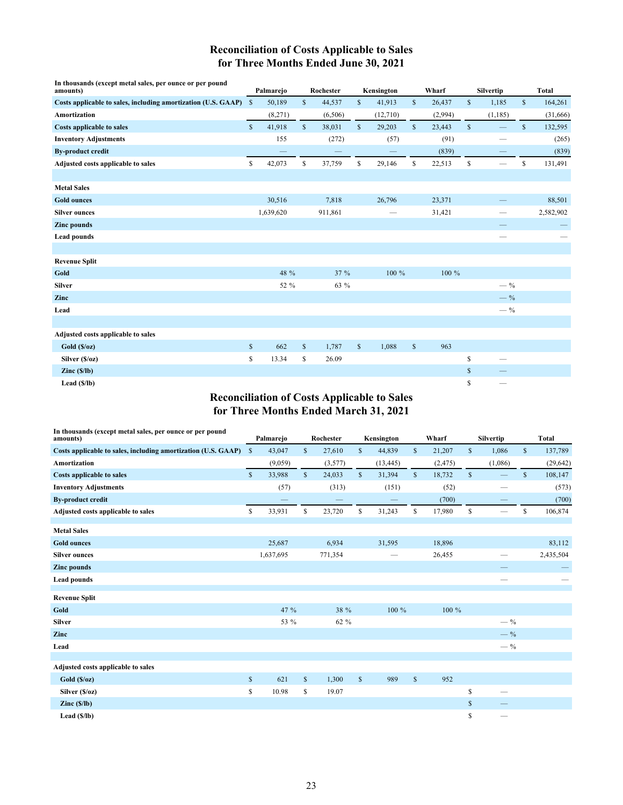## **Reconciliation of Costs Applicable to Sales for Three Months Ended June 30, 2021**

| In thousands (except metal sales, per ounce or per pound<br>amounts) |              | Palmarejo |              | Rochester |              | Kensington |              | Wharf   |              | <b>Silvertip</b>         |              | <b>Total</b> |
|----------------------------------------------------------------------|--------------|-----------|--------------|-----------|--------------|------------|--------------|---------|--------------|--------------------------|--------------|--------------|
| Costs applicable to sales, including amortization (U.S. GAAP) \$     |              | 50,189    | \$           | 44,537    | \$           | 41,913     | $\mathbb{S}$ | 26,437  | \$           | 1,185                    | $\mathbb{S}$ | 164,261      |
| <b>Amortization</b>                                                  |              | (8,271)   |              | (6,506)   |              | (12,710)   |              | (2,994) |              | (1, 185)                 |              | (31,666)     |
| <b>Costs applicable to sales</b>                                     | $\mathbb{S}$ | 41,918    | $\mathbb{S}$ | 38,031    | $\mathbb{S}$ | 29,203     | $\mathbb{S}$ | 23,443  | $\mathbb{S}$ | $\overline{\phantom{0}}$ | \$           | 132,595      |
| <b>Inventory Adjustments</b>                                         |              | 155       |              | (272)     |              | (57)       |              | (91)    |              |                          |              | (265)        |
| <b>By-product credit</b>                                             |              |           |              |           |              |            |              | (839)   |              |                          |              | (839)        |
| Adjusted costs applicable to sales                                   | \$           | 42,073    | \$           | 37,759    | \$           | 29,146     | \$           | 22,513  | \$           | $\overline{\phantom{m}}$ | \$           | 131,491      |
|                                                                      |              |           |              |           |              |            |              |         |              |                          |              |              |
| <b>Metal Sales</b>                                                   |              |           |              |           |              |            |              |         |              |                          |              |              |
| <b>Gold ounces</b>                                                   |              | 30,516    |              | 7,818     |              | 26,796     |              | 23,371  |              |                          |              | 88,501       |
| <b>Silver ounces</b>                                                 |              | 1,639,620 |              | 911,861   |              |            |              | 31,421  |              | —                        |              | 2,582,902    |
| <b>Zinc</b> pounds                                                   |              |           |              |           |              |            |              |         |              |                          |              |              |
| <b>Lead pounds</b>                                                   |              |           |              |           |              |            |              |         |              | --                       |              |              |
|                                                                      |              |           |              |           |              |            |              |         |              |                          |              |              |
| <b>Revenue Split</b>                                                 |              |           |              |           |              |            |              |         |              |                          |              |              |
| Gold                                                                 |              | 48 %      |              | 37 %      |              | 100 %      |              | 100 %   |              |                          |              |              |
| <b>Silver</b>                                                        |              | 52 %      |              | 63 %      |              |            |              |         |              | $-$ %                    |              |              |
| Zinc                                                                 |              |           |              |           |              |            |              |         |              | $-$ %                    |              |              |
| Lead                                                                 |              |           |              |           |              |            |              |         |              | $-$ %                    |              |              |
|                                                                      |              |           |              |           |              |            |              |         |              |                          |              |              |
| Adjusted costs applicable to sales                                   |              |           |              |           |              |            |              |         |              |                          |              |              |
| Gold(S/oz)                                                           | $\mathbb S$  | 662       | $\mathbb S$  | 1,787     | $\mathbb S$  | 1,088      | $\mathbb{S}$ | 963     |              |                          |              |              |
| Silver (\$/oz)                                                       | \$           | 13.34     | \$           | 26.09     |              |            |              |         | \$           | $\overline{\phantom{0}}$ |              |              |
| $\text{Zinc}(\frac{\mathsf{S}}{\mathsf{I}})$                         |              |           |              |           |              |            |              |         | \$           |                          |              |              |
| Lead $(S/Ib)$                                                        |              |           |              |           |              |            |              |         | \$           |                          |              |              |

## **Reconciliation of Costs Applicable to Sales for Three Months Ended March 31, 2021**

| In thousands (except metal sales, per ounce or per pound<br>amounts) |              | Palmarejo |              | Rochester |              | Kensington |              | Wharf    |              | Silvertip |              | <b>Total</b> |
|----------------------------------------------------------------------|--------------|-----------|--------------|-----------|--------------|------------|--------------|----------|--------------|-----------|--------------|--------------|
| Costs applicable to sales, including amortization (U.S. GAAP) \$     |              | 43,047    | $\mathbb{S}$ | 27,610    | $\mathbb{S}$ | 44,839     | $\mathbb{S}$ | 21,207   | $\mathbb{S}$ | 1,086     | $\mathbb{S}$ | 137,789      |
| <b>Amortization</b>                                                  |              | (9,059)   |              | (3,577)   |              | (13, 445)  |              | (2, 475) |              | (1,086)   |              | (29, 642)    |
| <b>Costs applicable to sales</b>                                     | $\mathbb{S}$ | 33,988    | $\mathbb{S}$ | 24,033    | $\mathbb{S}$ | 31,394     | $\mathbb{S}$ | 18,732   | $\mathbb{S}$ |           | $\mathbb{S}$ | 108,147      |
| <b>Inventory Adjustments</b>                                         |              | (57)      |              | (313)     |              | (151)      |              | (52)     |              |           |              | (573)        |
| <b>By-product credit</b>                                             |              |           |              | -         |              |            |              | (700)    |              |           |              | (700)        |
| Adjusted costs applicable to sales                                   | \$           | 33,931    | \$           | 23,720    | \$           | 31,243     | \$           | 17,980   | \$           |           | \$           | 106,874      |
| <b>Metal Sales</b>                                                   |              |           |              |           |              |            |              |          |              |           |              |              |
| <b>Gold ounces</b>                                                   |              | 25,687    |              | 6,934     |              | 31,595     |              | 18,896   |              |           |              | 83,112       |
| <b>Silver ounces</b>                                                 |              | 1,637,695 |              | 771,354   |              |            |              | 26,455   |              |           |              | 2,435,504    |
| <b>Zinc</b> pounds                                                   |              |           |              |           |              |            |              |          |              |           |              |              |
| <b>Lead pounds</b>                                                   |              |           |              |           |              |            |              |          |              |           |              |              |
| <b>Revenue Split</b>                                                 |              |           |              |           |              |            |              |          |              |           |              |              |
| Gold                                                                 |              | 47 %      |              | 38 %      |              | 100 %      |              | 100 %    |              |           |              |              |
| <b>Silver</b>                                                        |              | 53 %      |              | 62 %      |              |            |              |          |              | $-$ %     |              |              |
| Zinc                                                                 |              |           |              |           |              |            |              |          |              | $-$ %     |              |              |
| Lead                                                                 |              |           |              |           |              |            |              |          |              | $-$ %     |              |              |
|                                                                      |              |           |              |           |              |            |              |          |              |           |              |              |
| Adjusted costs applicable to sales                                   |              |           |              |           |              |            |              |          |              |           |              |              |
| Gold(S/oz)                                                           | \$           | 621       | $\mathbb{S}$ | 1,300     | $\mathbb{S}$ | 989        | $\mathbb{S}$ | 952      |              |           |              |              |
| Silver (\$/oz)                                                       | \$           | 10.98     | \$           | 19.07     |              |            |              |          | \$           |           |              |              |
| $\text{Zinc}(\frac{\mathsf{S}}{\mathsf{I}})\text{b}$                 |              |           |              |           |              |            |              |          | \$           |           |              |              |
| Lead $(S/lb)$                                                        |              |           |              |           |              |            |              |          | \$           |           |              |              |